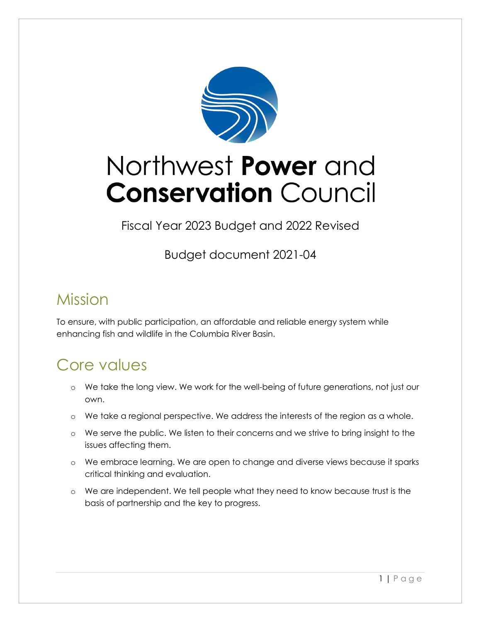

# Northwest Power and **Conservation Council**

Fiscal Year 2023 Budget and 2022 Revised

Budget document 2021-04

## Mission

To ensure, with public participation, an affordable and reliable energy system while enhancing fish and wildlife in the Columbia River Basin.

## Core values

- o We take the long view. We work for the well-being of future generations, not just our own.
- o We take a regional perspective. We address the interests of the region as a whole.
- o We serve the public. We listen to their concerns and we strive to bring insight to the issues affecting them.
- o We embrace learning. We are open to change and diverse views because it sparks critical thinking and evaluation.
- o We are independent. We tell people what they need to know because trust is the basis of partnership and the key to progress.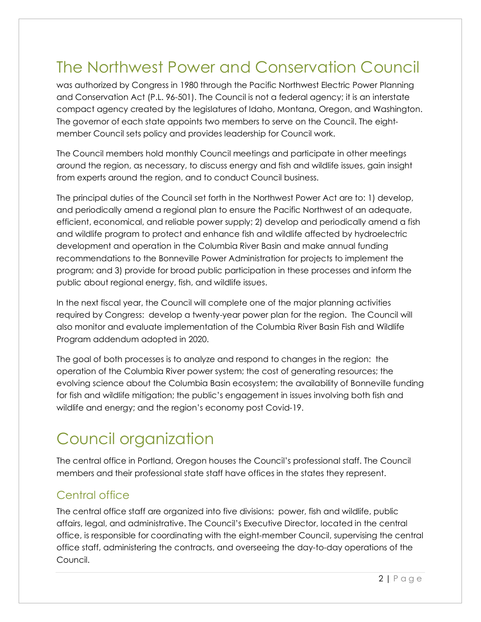## The Northwest Power and Conservation Council

was authorized by Congress in 1980 through the Pacific Northwest Electric Power Planning and Conservation Act (P.L. 96-501). The Council is not a federal agency; it is an interstate compact agency created by the legislatures of Idaho, Montana, Oregon, and Washington. The governor of each state appoints two members to serve on the Council. The eightmember Council sets policy and provides leadership for Council work.

The Council members hold monthly Council meetings and participate in other meetings around the region, as necessary, to discuss energy and fish and wildlife issues, gain insight from experts around the region, and to conduct Council business.

The principal duties of the Council set forth in the Northwest Power Act are to: 1) develop, and periodically amend a regional plan to ensure the Pacific Northwest of an adequate, efficient, economical, and reliable power supply; 2) develop and periodically amend a fish and wildlife program to protect and enhance fish and wildlife affected by hydroelectric development and operation in the Columbia River Basin and make annual funding recommendations to the Bonneville Power Administration for projects to implement the program; and 3) provide for broad public participation in these processes and inform the public about regional energy, fish, and wildlife issues.

In the next fiscal year, the Council will complete one of the major planning activities required by Congress: develop a twenty-year power plan for the region. The Council will also monitor and evaluate implementation of the Columbia River Basin Fish and Wildlife Program addendum adopted in 2020.

The goal of both processes is to analyze and respond to changes in the region: the operation of the Columbia River power system; the cost of generating resources; the evolving science about the Columbia Basin ecosystem; the availability of Bonneville funding for fish and wildlife mitigation; the public's engagement in issues involving both fish and wildlife and energy; and the region's economy post Covid-19.

## Council organization

The central office in Portland, Oregon houses the Council's professional staff. The Council members and their professional state staff have offices in the states they represent.

### Central office

The central office staff are organized into five divisions: power, fish and wildlife, public affairs, legal, and administrative. The Council's Executive Director, located in the central office, is responsible for coordinating with the eight-member Council, supervising the central office staff, administering the contracts, and overseeing the day-to-day operations of the Council.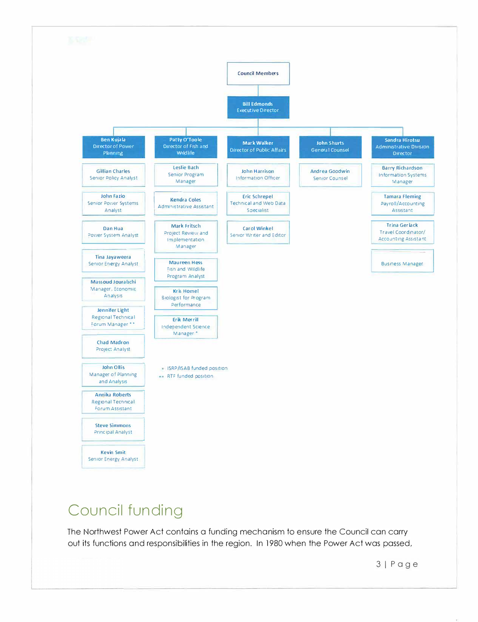

## **Council funding**

The Northwest Power Act contains a funding mechanism to ensure the Council can carry out its functions and responsibilities in the region. In 1980 when the Power Act was passed,

31 Page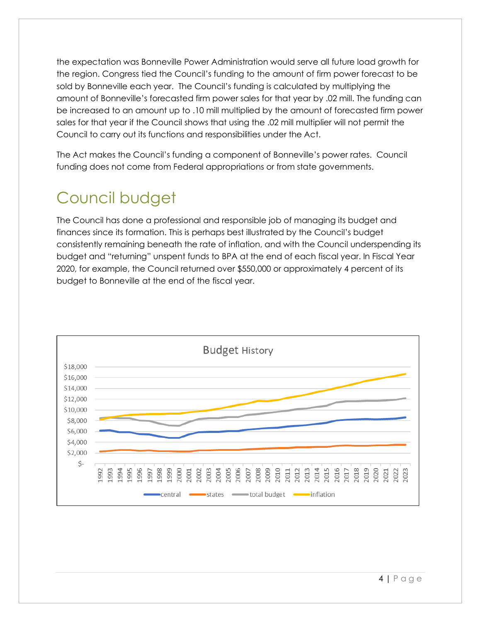the expectation was Bonneville Power Administration would serve all future load growth for the region. Congress tied the Council's funding to the amount of firm power forecast to be sold by Bonneville each year. The Council's funding is calculated by multiplying the amount of Bonneville's forecasted firm power sales for that year by .02 mill. The funding can be increased to an amount up to .10 mill multiplied by the amount of forecasted firm power sales for that year if the Council shows that using the .02 mill multiplier will not permit the Council to carry out its functions and responsibilities under the Act.

The Act makes the Council's funding a component of Bonneville's power rates. Council funding does not come from Federal appropriations or from state governments.

## Council budget

The Council has done a professional and responsible job of managing its budget and finances since its formation. This is perhaps best illustrated by the Council's budget consistently remaining beneath the rate of inflation, and with the Council underspending its budget and "returning" unspent funds to BPA at the end of each fiscal year. In Fiscal Year 2020, for example, the Council returned over \$550,000 or approximately 4 percent of its budget to Bonneville at the end of the fiscal year.

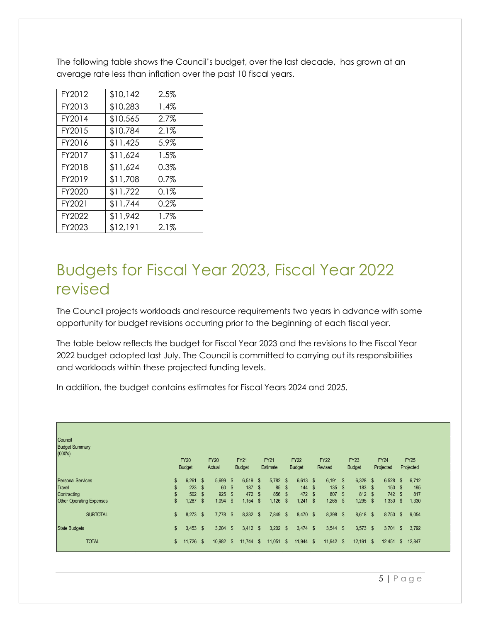The following table shows the Council's budget, over the last decade, has grown at an average rate less than inflation over the past 10 fiscal years.

| FY2012 | \$10,142 | 2.5%    |
|--------|----------|---------|
| FY2013 | \$10,283 | 1.4%    |
| FY2014 | \$10,565 | 2.7%    |
| FY2015 | \$10,784 | 2.1%    |
| FY2016 | \$11,425 | 5.9%    |
| FY2017 | \$11,624 | 1.5%    |
| FY2018 | \$11,624 | 0.3%    |
| FY2019 | \$11,708 | $0.7\%$ |
| FY2020 | \$11,722 | 0.1%    |
| FY2021 | \$11,744 | 0.2%    |
| FY2022 | \$11,942 | 1.7%    |
| FY2023 | \$12,191 | 2.1%    |

## Budgets for Fiscal Year 2023, Fiscal Year 2022 revised

The Council projects workloads and resource requirements two years in advance with some opportunity for budget revisions occurring prior to the beginning of each fiscal year.

The table below reflects the budget for Fiscal Year 2023 and the revisions to the Fiscal Year 2022 budget adopted last July. The Council is committed to carrying out its responsibilities and workloads within these projected funding levels.

In addition, the budget contains estimates for Fiscal Years 2024 and 2025.

| Council<br><b>Budget Summary</b><br>(000's) | <b>FY20</b><br><b>Budget</b> |          | <b>FY20</b><br>Actual |      | <b>FY21</b><br><b>Budget</b> |          | <b>FY21</b><br>Estimate |               | <b>FY22</b><br><b>Budget</b> |              | <b>FY22</b><br>Revised |              | <b>FY23</b><br><b>Budget</b> |      | <b>FY24</b><br>Projected |              | <b>FY25</b><br>Projected |
|---------------------------------------------|------------------------------|----------|-----------------------|------|------------------------------|----------|-------------------------|---------------|------------------------------|--------------|------------------------|--------------|------------------------------|------|--------------------------|--------------|--------------------------|
| <b>Personal Services</b>                    | \$<br>$6,261$ \$             |          | $5,699$ \$            |      | 6,519                        | \$       | $5,782$ \$              |               | 6,613                        | - \$         | 6,191                  | - \$         | $6,328$ \$                   |      | $6,528$ \$               |              | 6,712                    |
| <b>Travel</b>                               | \$<br>223                    | <b>S</b> | 60 \$                 |      | 187                          | \$       | 85                      | <b>S</b>      | 144                          | - \$         | 135                    | <b>S</b>     | 183                          | - \$ | 150                      | - \$         | 195                      |
| Contracting                                 | \$<br>502                    | <b>S</b> | 925 \$                |      | 472                          | <b>S</b> | 856                     | $\mathbb{S}$  | 472                          | - \$         | 807                    | $\mathbb{S}$ | 812                          | -\$  | 742 \$                   |              | 817                      |
| <b>Other Operating Expenses</b>             | \$<br>.287                   | <b>S</b> | 1,094                 | - \$ | 1,154                        | \$       | 1,126                   | $\mathbb{S}$  | 1,241                        | $\mathbb{S}$ | 1,265                  | $\mathbb{S}$ | 1,295                        | -\$  | 1,330                    | $\mathbb{S}$ | 1,330                    |
| <b>SUBTOTAL</b>                             | \$<br>$8,273$ \$             |          | $7,778$ \$            |      | $8,332$ \$                   |          | 7,849                   | $\mathbf{\$}$ | 8,470 \$                     |              | 8,398 \$               |              | 8,618 \$                     |      | $8,750$ \$               |              | 9,054                    |
| <b>State Budgets</b>                        | \$<br>$3,453$ \$             |          | $3,204$ \$            |      | $3,412$ \$                   |          | $3,202$ \$              |               | $3,474$ \$                   |              | $3,544$ \$             |              | $3,573$ \$                   |      | $3,701$ \$               |              | 3,792                    |
| <b>TOTAL</b>                                | \$<br>$11,726$ \$            |          | 10,982 \$             |      | 11,744                       | -\$      | $11,051$ \$             |               | $11,944$ \$                  |              | $11,942$ \$            |              | 12,191                       | - \$ | $12,451$ \$              |              | 12,847                   |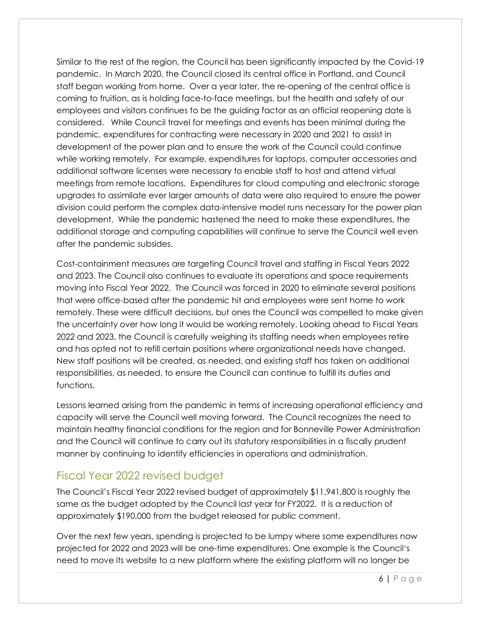Similar to the rest of the region, the Council has been significantly impacted by the Covid-19 pandemic. In March 2020, the Council closed its central office in Portland, and Council staff began working from home. Over a year later, the re-opening of the central office is coming to fruition, as is holding face-to-face meetings, but the health and safety of our employees and visitors continues to be the guiding factor as an official reopening date is considered. While Council travel for meetings and events has been minimal during the pandemic, expenditures for contracting were necessary in 2020 and 2021 to assist in development of the power plan and to ensure the work of the Council could continue while working remotely. For example, expenditures for laptops, computer accessories and additional software licenses were necessary to enable staff to host and attend virtual meetings from remote locations. Expenditures for cloud computing and electronic storage upgrades to assimilate ever larger amounts of data were also required to ensure the power division could perform the complex data-intensive model runs necessary for the power plan development. While the pandemic hastened the need to make these expenditures, the additional storage and computing capabilities will continue to serve the Council well even after the pandemic subsides.

Cost-containment measures are targeting Council travel and staffing in Fiscal Years 2022 and 2023. The Council also continues to evaluate its operations and space requirements moving into Fiscal Year 2022. The Council was forced in 2020 to eliminate several positions that were office-based after the pandemic hit and employees were sent home to work remotely. These were difficult decisions, but ones the Council was compelled to make given the uncertainty over how long it would be working remotely. Looking ahead to Fiscal Years 2022 and 2023, the Council is carefully weighing its staffing needs when employees retire and has opted not to refill certain positions where organizational needs have changed. New staff positions will be created, as needed, and existing staff has taken on additional responsibilities, as needed, to ensure the Council can continue to fulfill its duties and functions.

Lessons learned arising from the pandemic in terms of increasing operational efficiency and capacity will serve the Council well moving forward. The Council recognizes the need to maintain healthy financial conditions for the region and for Bonneville Power Administration and the Council will continue to carry out its statutory responsibilities in a fiscally prudent manner by continuing to identify efficiencies in operations and administration.

### Fiscal Year 2022 revised budget

The Council's Fiscal Year 2022 revised budget of approximately \$11,941,800 is roughly the same as the budget adopted by the Council last year for FY2022. It is a reduction of approximately \$190,000 from the budget released for public comment.

Over the next few years, spending is projected to be lumpy where some expenditures now projected for 2022 and 2023 will be one-time expenditures. One example is the Council's need to move its website to a new platform where the existing platform will no longer be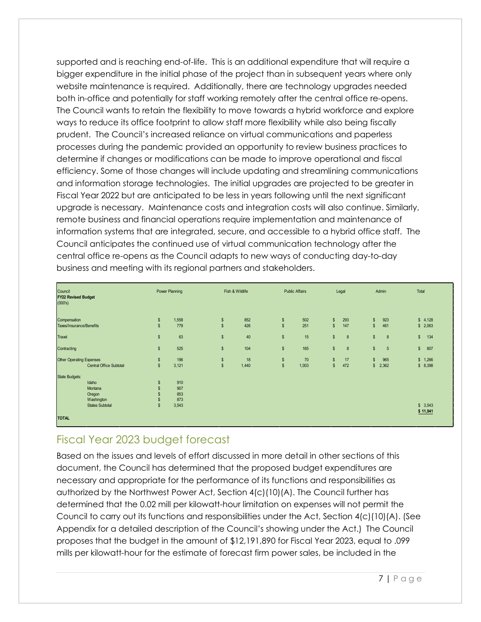supported and is reaching end-of-life. This is an additional expenditure that will require a bigger expenditure in the initial phase of the project than in subsequent years where only website maintenance is required. Additionally, there are technology upgrades needed both in-office and potentially for staff working remotely after the central office re-opens. The Council wants to retain the flexibility to move towards a hybrid workforce and explore ways to reduce its office footprint to allow staff more flexibility while also being fiscally prudent. The Council's increased reliance on virtual communications and paperless processes during the pandemic provided an opportunity to review business practices to determine if changes or modifications can be made to improve operational and fiscal efficiency. Some of those changes will include updating and streamlining communications and information storage technologies. The initial upgrades are projected to be greater in Fiscal Year 2022 but are anticipated to be less in years following until the next significant upgrade is necessary. Maintenance costs and integration costs will also continue. Similarly, remote business and financial operations require implementation and maintenance of information systems that are integrated, secure, and accessible to a hybrid office staff. The Council anticipates the continued use of virtual communication technology after the central office re-opens as the Council adapts to new ways of conducting day-to-day business and meeting with its regional partners and stakeholders.

| Council<br><b>FY22 Revised Budget</b><br>(000's) |               | Power Planning |               | Fish & Wildlife |                | <b>Public Affairs</b> | Legal                              | Admin                            | Total                |
|--------------------------------------------------|---------------|----------------|---------------|-----------------|----------------|-----------------------|------------------------------------|----------------------------------|----------------------|
| Compensation                                     | $\mathsf{\$}$ | 1,558          | \$            | 852             | \$             | 502                   | $\mathsf{\$}$<br>293               | 923<br>$\mathsf{s}$              | \$4,128              |
| Taxes/Insurance/Benefits                         | $\mathsf{\$}$ | 779            | $\mathsf{\$}$ | 426             | $\mathbb S$    | 251                   | $\sqrt{2}$<br>147                  | 461<br>$\mathsf{s}$              | \$2,063              |
| Travel                                           | $\mathsf{\$}$ | 63             | $\mathsf{\$}$ | 40              | $$\mathbb{S}$$ | 15                    | $\mathfrak{s}$<br>$\boldsymbol{8}$ | \$<br>8                          | $\frac{1}{2}$<br>134 |
| Contracting                                      | $\mathsf{\$}$ | 525            | $\mathsf{\$}$ | 104             | $$\mathbb{S}$$ | 165                   | $\sqrt[6]{3}$<br>$\boldsymbol{8}$  | $\mathsf{\$}$<br>$5\phantom{.0}$ | $\mathsf{s}$<br>807  |
| Other Operating Expenses                         | $\mathsf{\$}$ | 196            | \$            | 18              | \$             | 70                    | $\mathsf{\$}$<br>17                | 965<br>$\mathbf{s}$              | \$1,266              |
| Central Office Subtotal                          | $\mathsf{\$}$ | 3,121          | $\mathsf{\$}$ | 1,440           | $$\mathbb{S}$$ | 1,003                 | $\sqrt{3}$<br>472                  | 2,362<br>\$                      | \$8,398              |
| State Budgets:                                   |               |                |               |                 |                |                       |                                    |                                  |                      |
| Idaho                                            | $\mathbf{s}$  | 910            |               |                 |                |                       |                                    |                                  |                      |
| Montana                                          |               | 907            |               |                 |                |                       |                                    |                                  |                      |
| Oregon                                           |               | 853            |               |                 |                |                       |                                    |                                  |                      |
| Washington                                       |               | 873            |               |                 |                |                       |                                    |                                  |                      |
| <b>States Subtotal</b>                           | $\mathsf{\$}$ | 3,543          |               |                 |                |                       |                                    |                                  | \$3,543              |
| <b>TOTAL</b>                                     |               |                |               |                 |                |                       |                                    |                                  | \$11,941             |

### Fiscal Year 2023 budget forecast

Based on the issues and levels of effort discussed in more detail in other sections of this document, the Council has determined that the proposed budget expenditures are necessary and appropriate for the performance of its functions and responsibilities as authorized by the Northwest Power Act, Section 4(c)(10)(A). The Council further has determined that the 0.02 mill per kilowatt-hour limitation on expenses will not permit the Council to carry out its functions and responsibilities under the Act, Section  $4(c)(10)(A)$ . (See Appendix for a detailed description of the Council's showing under the Act.) The Council proposes that the budget in the amount of \$12,191,890 for Fiscal Year 2023, equal to .099 mills per kilowatt-hour for the estimate of forecast firm power sales, be included in the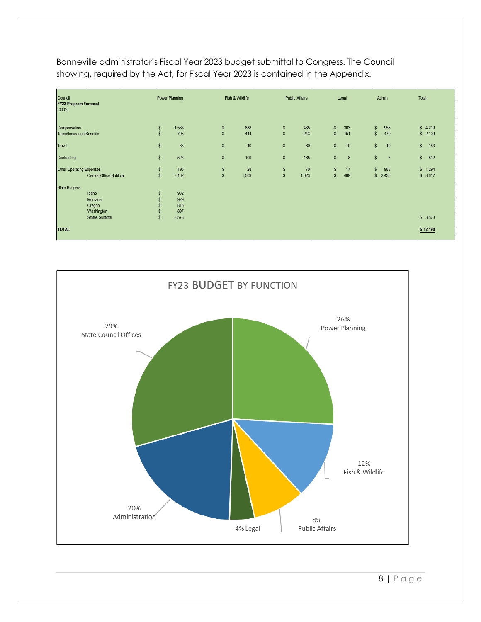| Council<br><b>FY23 Program Forecast</b><br>(000's)                                   | Power Planning                                              | Fish & Wildlife                                   | <b>Public Affairs</b>               | Legal                                                      | Admin                                         | Total               |
|--------------------------------------------------------------------------------------|-------------------------------------------------------------|---------------------------------------------------|-------------------------------------|------------------------------------------------------------|-----------------------------------------------|---------------------|
| Compensation<br>Taxes/Insurance/Benefits                                             | 1,585<br>$\boldsymbol{\mathsf{s}}$<br>$\mathsf{s}$<br>793   | \$<br>$\mathsf{s}$                                | 888<br>\$<br>$\mathsf{s}$<br>444    | 485<br>$\mathsf{s}$<br>303<br>243<br>$$\mathbb{S}$$<br>151 | 958<br>$\mathbb{S}$<br>479<br>$\mathbb{S}$    | \$4,219<br>\$2,109  |
| Travel                                                                               | $$\mathbb{S}$$<br>63                                        | $\mathsf{\$}$                                     | 40<br>\$                            | 60<br>$\mathbb{S}$<br>10                                   | $\mathbb{S}$<br>10                            | $\mathsf{s}$<br>183 |
| Contracting                                                                          | $$\mathbb{S}$$<br>525                                       | $\mathsf{\$}$                                     | 109<br>\$                           | 165<br>$$\mathbb{S}$$<br>8                                 | $\mathbb{S}$<br>5                             | $\mathsf{s}$<br>812 |
| <b>Other Operating Expenses</b><br>Central Office Subtotal                           | 196<br>$\boldsymbol{\mathsf{s}}$<br>$$\mathbb{S}$$<br>3,162 | $\sqrt[6]{\frac{1}{2}}$<br>$\mathsf{\$}$<br>1,509 | 28<br>\$<br>$$\mathbb{S}$$<br>1,023 | 70<br>$\sqrt[6]{3}$<br>17<br>$\mathsf{\$}$<br>489          | 983<br>$\mathbb{S}$<br>2,435<br>$\mathsf{\$}$ | \$1,294<br>\$8,617  |
| State Budgets:<br>Idaho<br>Montana<br>Oregon<br>Washington<br><b>States Subtotal</b> | 932<br>\$<br>929<br>815<br>897<br>$\mathsf{s}$<br>3,573     |                                                   |                                     |                                                            |                                               | \$3,573             |
| <b>TOTAL</b>                                                                         |                                                             |                                                   |                                     |                                                            |                                               | \$12,190            |

Bonneville administrator's Fiscal Year 2023 budget submittal to Congress. The Council showing, required by the Act, for Fiscal Year 2023 is contained in the Appendix.

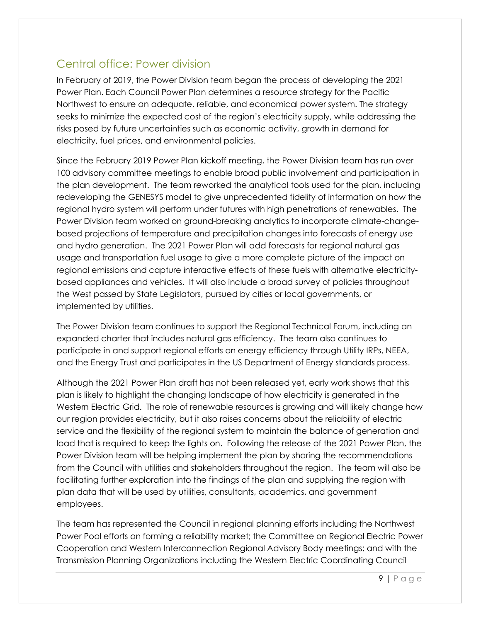### Central office: Power division

In February of 2019, the Power Division team began the process of developing the 2021 Power Plan. Each Council Power Plan determines a resource strategy for the Pacific Northwest to ensure an adequate, reliable, and economical power system. The strategy seeks to minimize the expected cost of the region's electricity supply, while addressing the risks posed by future uncertainties such as economic activity, growth in demand for electricity, fuel prices, and environmental policies.

Since the February 2019 Power Plan kickoff meeting, the Power Division team has run over 100 advisory committee meetings to enable broad public involvement and participation in the plan development. The team reworked the analytical tools used for the plan, including redeveloping the GENESYS model to give unprecedented fidelity of information on how the regional hydro system will perform under futures with high penetrations of renewables. The Power Division team worked on ground-breaking analytics to incorporate climate-changebased projections of temperature and precipitation changes into forecasts of energy use and hydro generation. The 2021 Power Plan will add forecasts for regional natural gas usage and transportation fuel usage to give a more complete picture of the impact on regional emissions and capture interactive effects of these fuels with alternative electricitybased appliances and vehicles. It will also include a broad survey of policies throughout the West passed by State Legislators, pursued by cities or local governments, or implemented by utilities.

The Power Division team continues to support the Regional Technical Forum, including an expanded charter that includes natural gas efficiency. The team also continues to participate in and support regional efforts on energy efficiency through Utility IRPs, NEEA, and the Energy Trust and participates in the US Department of Energy standards process.

Although the 2021 Power Plan draft has not been released yet, early work shows that this plan is likely to highlight the changing landscape of how electricity is generated in the Western Electric Grid. The role of renewable resources is growing and will likely change how our region provides electricity, but it also raises concerns about the reliability of electric service and the flexibility of the regional system to maintain the balance of generation and load that is required to keep the lights on. Following the release of the 2021 Power Plan, the Power Division team will be helping implement the plan by sharing the recommendations from the Council with utilities and stakeholders throughout the region. The team will also be facilitating further exploration into the findings of the plan and supplying the region with plan data that will be used by utilities, consultants, academics, and government employees.

The team has represented the Council in regional planning efforts including the Northwest Power Pool efforts on forming a reliability market; the Committee on Regional Electric Power Cooperation and Western Interconnection Regional Advisory Body meetings; and with the Transmission Planning Organizations including the Western Electric Coordinating Council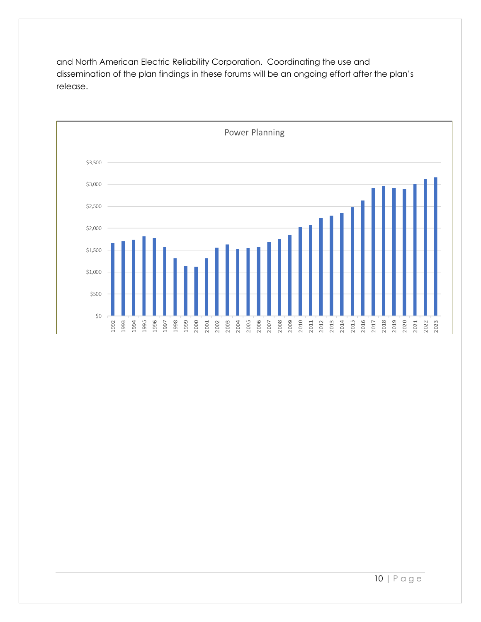and North American Electric Reliability Corporation. Coordinating the use and dissemination of the plan findings in these forums will be an ongoing effort after the plan's release.



10 | Page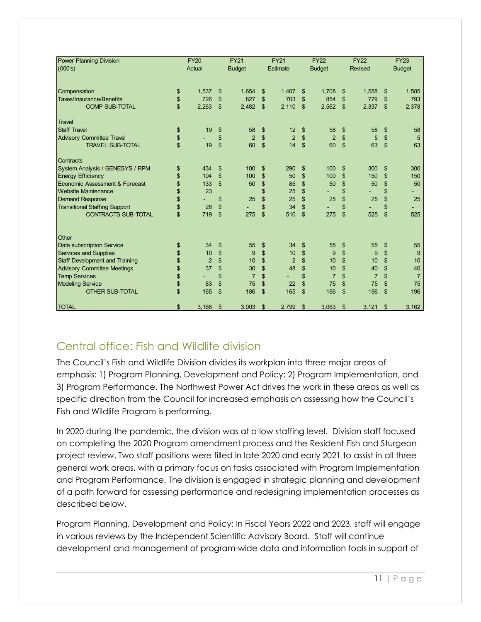| <b>Power Planning Division</b>        | <b>FY20</b>          | <b>FY21</b>          |          | <b>FY21</b>    | <b>FY22</b>          |                | <b>FY22</b>    |                | <b>FY23</b>    |
|---------------------------------------|----------------------|----------------------|----------|----------------|----------------------|----------------|----------------|----------------|----------------|
| (000's)                               | Actual               | <b>Budget</b>        |          | Estimate       | <b>Budget</b>        |                | <b>Revised</b> |                | <b>Budget</b>  |
|                                       |                      |                      |          |                |                      |                |                |                |                |
| Compensation                          | \$<br>1,537          | \$<br>1,654          | \$       | 1,407          | \$<br>1,708          | \$             | 1,558          | \$             | 1,585          |
| <b>Taxes/Insurance/Benefits</b>       | \$<br>726            | \$<br>827            | \$       | 703            | \$<br>854            | \$             | 779            | \$             | 793            |
| <b>COMP SUB-TOTAL</b>                 | \$<br>2,263          | \$<br>2,482          | \$       | 2,110          | \$<br>2,562          | $\mathfrak{s}$ | 2,337          | $\mathfrak{L}$ | 2,378          |
| Travel                                |                      |                      |          |                |                      |                |                |                |                |
| <b>Staff Travel</b>                   | \$<br>19             | \$<br>58             | \$       | 12             | \$<br>58             | \$             | 58             | \$             | 58             |
| <b>Advisory Committee Travel</b>      | \$                   | \$<br>$\overline{2}$ | \$       | $\overline{2}$ | \$<br>$\overline{2}$ | \$             | 5              | \$             | 5              |
| <b>TRAVEL SUB-TOTAL</b>               | \$<br>19             | \$<br>60             | \$       | 14             | \$<br>60             | $\mathfrak{s}$ | 63             | $\mathfrak{s}$ | 63             |
| Contracts                             |                      |                      |          |                |                      |                |                |                |                |
| System Analysis / GENESYS / RPM       | \$<br>434            | \$<br>100            | \$       | 290            | \$<br>100            | \$             | 300            | \$             | 300            |
| <b>Energy Efficiency</b>              | \$<br>104            | \$<br>100            | \$       | 50             | \$<br>100            | \$             | 150            | \$             | 150            |
| Economic Assessment & Forecast        | \$<br>133            | \$<br>50             | \$       | 85             | \$<br>50             | \$             | 50             | \$             | 50             |
| <b>Website Maintenance</b>            | \$<br>23             |                      | \$       | 25             | \$                   | \$             |                | \$             |                |
| <b>Demand Response</b>                | \$                   | \$<br>25             | \$       | 25             | \$<br>25             | \$             | 25             | \$             | 25             |
| <b>Transitional Staffing Support</b>  | \$<br>26             | \$                   | \$       | 34             | \$                   | \$             |                | \$             |                |
| <b>CONTRACTS SUB-TOTAL</b>            | \$<br>719            | \$<br>275            | \$       | 510            | \$<br>275            | \$             | 525            | \$             | 525            |
|                                       |                      |                      |          |                |                      |                |                |                |                |
| <b>Other</b>                          | 34                   | \$                   |          | 34             |                      |                |                |                |                |
| Data subscription Service             | \$                   | \$<br>55             | \$<br>\$ |                | \$<br>55             | \$             | 55             | \$<br>\$       | 55             |
| <b>Services and Supplies</b>          | \$<br>10             | \$<br>9              |          | 10             | \$<br>9              | \$             | 9              |                | 9              |
| <b>Staff Development and Training</b> | \$<br>$\overline{2}$ | 10                   | \$       | $\overline{2}$ | \$<br>10             | \$             | 10             | \$             | 10             |
| <b>Advisory Committee Meetings</b>    | \$<br>37             | \$<br>30             | \$       | 48             | \$<br>10             | \$             | 40             | \$             | 40             |
| <b>Temp Services</b>                  | \$                   | \$<br>$\overline{7}$ | \$       |                | \$<br>$\overline{7}$ | \$             | $\overline{7}$ | \$             | $\overline{7}$ |
| <b>Modeling Service</b>               | \$<br>83             | \$<br>75             | \$       | 22             | \$<br>75             | \$             | 75             | \$             | 75             |
| <b>OTHER SUB-TOTAL</b>                | \$<br>165            | \$<br>186            | \$       | 165            | \$<br>166            | $\mathfrak{s}$ | 196            | \$             | 196            |
| <b>TOTAL</b>                          | \$<br>3,166          | \$<br>3,003          | \$       | 2,799          | \$<br>3,063          | \$             | 3,121          | \$             | 3,162          |

## Central office: Fish and Wildlife division

The Council's Fish and Wildlife Division divides its workplan into three major areas of emphasis: 1) Program Planning, Development and Policy; 2) Program Implementation, and 3) Program Performance. The Northwest Power Act drives the work in these areas as well as specific direction from the Council for increased emphasis on assessing how the Council's Fish and Wildlife Program is performing.

In 2020 during the pandemic, the division was at a low staffing level. Division staff focused on completing the 2020 Program amendment process and the Resident Fish and Sturgeon project review. Two staff positions were filled in late 2020 and early 2021 to assist in all three general work areas, with a primary focus on tasks associated with Program Implementation and Program Performance. The division is engaged in strategic planning and development of a path forward for assessing performance and redesigning implementation processes as described below.

Program Planning, Development and Policy: In Fiscal Years 2022 and 2023, staff will engage in various reviews by the Independent Scientific Advisory Board. Staff will continue development and management of program-wide data and information tools in support of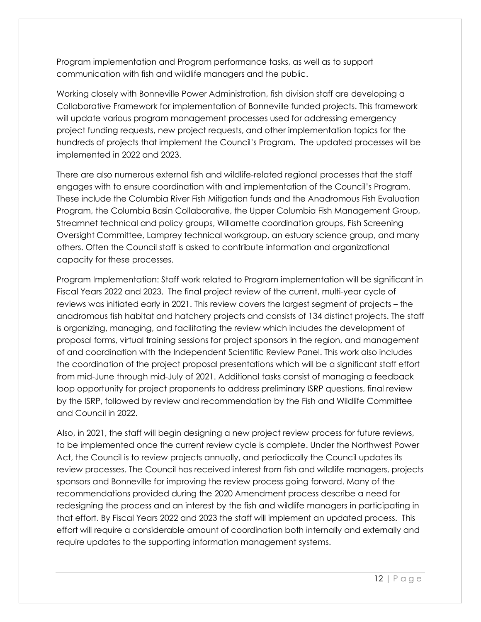Program implementation and Program performance tasks, as well as to support communication with fish and wildlife managers and the public.

Working closely with Bonneville Power Administration, fish division staff are developing a Collaborative Framework for implementation of Bonneville funded projects. This framework will update various program management processes used for addressing emergency project funding requests, new project requests, and other implementation topics for the hundreds of projects that implement the Council's Program. The updated processes will be implemented in 2022 and 2023.

There are also numerous external fish and wildlife-related regional processes that the staff engages with to ensure coordination with and implementation of the Council's Program. These include the Columbia River Fish Mitigation funds and the Anadromous Fish Evaluation Program, the Columbia Basin Collaborative, the Upper Columbia Fish Management Group, Streamnet technical and policy groups, Willamette coordination groups, Fish Screening Oversight Committee, Lamprey technical workgroup, an estuary science group, and many others. Often the Council staff is asked to contribute information and organizational capacity for these processes.

Program Implementation: Staff work related to Program implementation will be significant in Fiscal Years 2022 and 2023. The final project review of the current, multi-year cycle of reviews was initiated early in 2021. This review covers the largest segment of projects – the anadromous fish habitat and hatchery projects and consists of 134 distinct projects. The staff is organizing, managing, and facilitating the review which includes the development of proposal forms, virtual training sessions for project sponsors in the region, and management of and coordination with the Independent Scientific Review Panel. This work also includes the coordination of the project proposal presentations which will be a significant staff effort from mid-June through mid-July of 2021. Additional tasks consist of managing a feedback loop opportunity for project proponents to address preliminary ISRP questions, final review by the ISRP, followed by review and recommendation by the Fish and Wildlife Committee and Council in 2022.

Also, in 2021, the staff will begin designing a new project review process for future reviews, to be implemented once the current review cycle is complete. Under the Northwest Power Act, the Council is to review projects annually, and periodically the Council updates its review processes. The Council has received interest from fish and wildlife managers, projects sponsors and Bonneville for improving the review process going forward. Many of the recommendations provided during the 2020 Amendment process describe a need for redesigning the process and an interest by the fish and wildlife managers in participating in that effort. By Fiscal Years 2022 and 2023 the staff will implement an updated process. This effort will require a considerable amount of coordination both internally and externally and require updates to the supporting information management systems.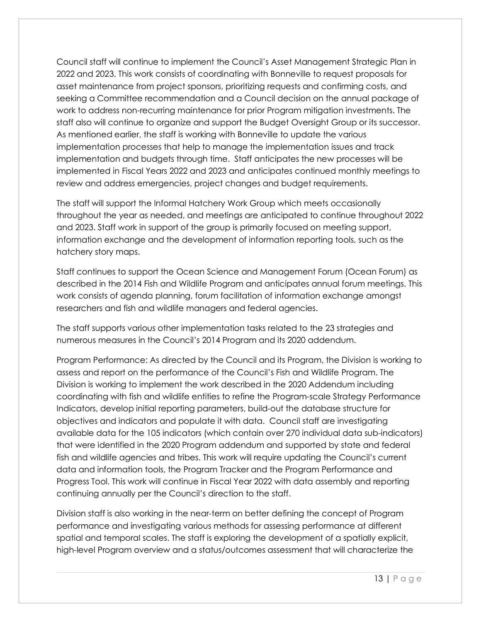Council staff will continue to implement the Council's Asset Management Strategic Plan in 2022 and 2023. This work consists of coordinating with Bonneville to request proposals for asset maintenance from project sponsors, prioritizing requests and confirming costs, and seeking a Committee recommendation and a Council decision on the annual package of work to address non-recurring maintenance for prior Program mitigation investments. The staff also will continue to organize and support the Budget Oversight Group or its successor. As mentioned earlier, the staff is working with Bonneville to update the various implementation processes that help to manage the implementation issues and track implementation and budgets through time. Staff anticipates the new processes will be implemented in Fiscal Years 2022 and 2023 and anticipates continued monthly meetings to review and address emergencies, project changes and budget requirements.

The staff will support the Informal Hatchery Work Group which meets occasionally throughout the year as needed, and meetings are anticipated to continue throughout 2022 and 2023. Staff work in support of the group is primarily focused on meeting support, information exchange and the development of information reporting tools, such as the hatchery story maps.

Staff continues to support the Ocean Science and Management Forum (Ocean Forum) as described in the 2014 Fish and Wildlife Program and anticipates annual forum meetings. This work consists of agenda planning, forum facilitation of information exchange amongst researchers and fish and wildlife managers and federal agencies.

The staff supports various other implementation tasks related to the 23 strategies and numerous measures in the Council's 2014 Program and its 2020 addendum.

Program Performance: As directed by the Council and its Program, the Division is working to assess and report on the performance of the Council's Fish and Wildlife Program. The Division is working to implement the work described in the 2020 Addendum including coordinating with fish and wildlife entities to refine the Program-scale Strategy Performance Indicators, develop initial reporting parameters, build-out the database structure for objectives and indicators and populate it with data. Council staff are investigating available data for the 105 indicators (which contain over 270 individual data sub-indicators) that were identified in the 2020 Program addendum and supported by state and federal fish and wildlife agencies and tribes. This work will require updating the Council's current data and information tools, the Program Tracker and the Program Performance and Progress Tool. This work will continue in Fiscal Year 2022 with data assembly and reporting continuing annually per the Council's direction to the staff.

Division staff is also working in the near-term on better defining the concept of Program performance and investigating various methods for assessing performance at different spatial and temporal scales. The staff is exploring the development of a spatially explicit, high-level Program overview and a status/outcomes assessment that will characterize the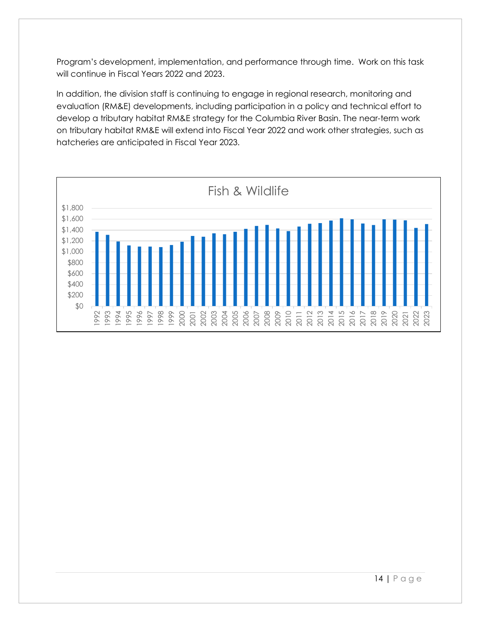Program's development, implementation, and performance through time. Work on this task will continue in Fiscal Years 2022 and 2023.

In addition, the division staff is continuing to engage in regional research, monitoring and evaluation (RM&E) developments, including participation in a policy and technical effort to develop a tributary habitat RM&E strategy for the Columbia River Basin. The near-term work on tributary habitat RM&E will extend into Fiscal Year 2022 and work other strategies, such as hatcheries are anticipated in Fiscal Year 2023.

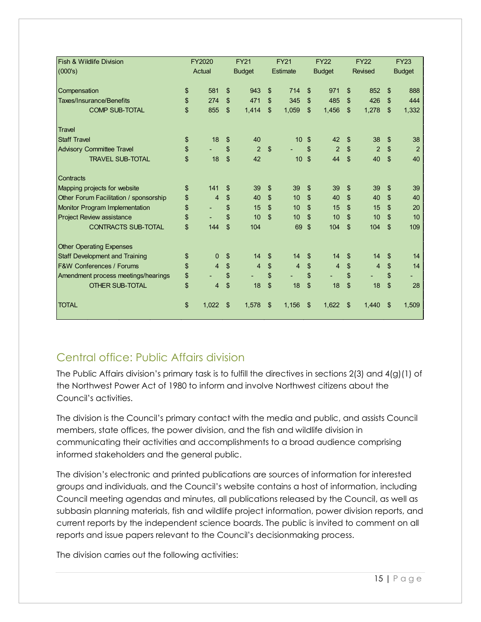| <b>Fish &amp; Wildlife Division</b>    | FY2020               |                | <b>FY21</b>    |                | <b>FY21</b>    |                | <b>FY22</b>    |                | <b>FY22</b>    |                | <b>FY23</b>    |
|----------------------------------------|----------------------|----------------|----------------|----------------|----------------|----------------|----------------|----------------|----------------|----------------|----------------|
| (000's)                                | Actual               |                | <b>Budget</b>  |                | Estimate       |                | <b>Budget</b>  |                | <b>Revised</b> |                | <b>Budget</b>  |
|                                        |                      |                |                |                |                |                |                |                |                |                |                |
| Compensation                           | \$<br>581            | \$             | 943            | $\mathfrak{L}$ | 714            | \$             | 971            | \$             | 852            | \$             | 888            |
| Taxes/Insurance/Benefits               | \$<br>274            | \$             | 471            | $\mathfrak{L}$ | 345            | \$             | 485            | \$             | 426            | $\mathfrak{L}$ | 444            |
| <b>COMP SUB-TOTAL</b>                  | \$<br>855            | \$             | 1,414          | \$             | 1,059          | \$             | 1,456          | \$             | 1,278          | \$             | 1,332          |
| Travel                                 |                      |                |                |                |                |                |                |                |                |                |                |
| <b>Staff Travel</b>                    | \$<br>18             | \$             | 40             |                | 10             | \$             | 42             | \$             | 38             | \$             | 38             |
| <b>Advisory Committee Travel</b>       | \$                   | \$             | $\overline{2}$ | $\mathfrak{L}$ |                | \$             | $\overline{2}$ | $\mathfrak{L}$ | $\overline{2}$ | \$             | $\overline{2}$ |
| <b>TRAVEL SUB-TOTAL</b>                | \$<br>18             | $\mathfrak{S}$ | 42             |                | 10             | \$             | 44             | \$             | 40             | $\mathfrak{S}$ | 40             |
| Contracts                              |                      |                |                |                |                |                |                |                |                |                |                |
| Mapping projects for website           | \$<br>141            | \$             | 39             | \$             | 39             | $\mathfrak{s}$ | 39             | \$             | 39             | \$             | 39             |
| Other Forum Facilitation / sponsorship | \$<br>4              | \$             | 40             | \$             | 10             | $\mathfrak{L}$ | 40             | \$             | 40             | \$             | 40             |
| Monitor Program Implementation         | \$                   | \$             | 15             | \$             | 10             | $\mathfrak{s}$ | 15             | \$             | 15             | \$             | 20             |
| <b>Project Review assistance</b>       | \$                   | \$             | 10             | $\mathfrak{L}$ | 10             | \$             | 10             | \$             | 10             | $\mathfrak{L}$ | 10             |
| <b>CONTRACTS SUB-TOTAL</b>             | \$<br>144            | \$             | 104            |                | 69             | \$             | 104            | \$             | 104            | \$             | 109            |
| <b>Other Operating Expenses</b>        |                      |                |                |                |                |                |                |                |                |                |                |
| <b>Staff Development and Training</b>  | \$<br>$\overline{0}$ | \$             | 14             | \$             | 14             | \$             | 14             | \$             | 14             | \$             | 14             |
| <b>F&amp;W Conferences / Forums</b>    | \$<br>4              | \$             | $\overline{4}$ | \$             | $\overline{4}$ | \$             | $\overline{4}$ | \$             | $\overline{4}$ | \$             | 14             |
| Amendment process meetings/hearings    | \$                   | \$             |                | \$             |                | \$             |                | \$             |                | \$             |                |
| <b>OTHER SUB-TOTAL</b>                 | \$<br>4              | \$             | 18             | \$             | 18             | \$             | 18             | \$             | 18             | \$             | 28             |
| <b>TOTAL</b>                           | \$<br>1,022          | \$             | 1,578          | \$             | 1,156          | \$             | 1,622          | \$             | 1,440          | \$             | 1,509          |

## Central office: Public Affairs division

The Public Affairs division's primary task is to fulfill the directives in sections 2(3) and 4(g)(1) of the Northwest Power Act of 1980 to inform and involve Northwest citizens about the Council's activities.

The division is the Council's primary contact with the media and public, and assists Council members, state offices, the power division, and the fish and wildlife division in communicating their activities and accomplishments to a broad audience comprising informed stakeholders and the general public.

The division's electronic and printed publications are sources of information for interested groups and individuals, and the Council's website contains a host of information, including Council meeting agendas and minutes, all publications released by the Council, as well as subbasin planning materials, fish and wildlife project information, power division reports, and current reports by the independent science boards. The public is invited to comment on all reports and issue papers relevant to the Council's decisionmaking process.

The division carries out the following activities: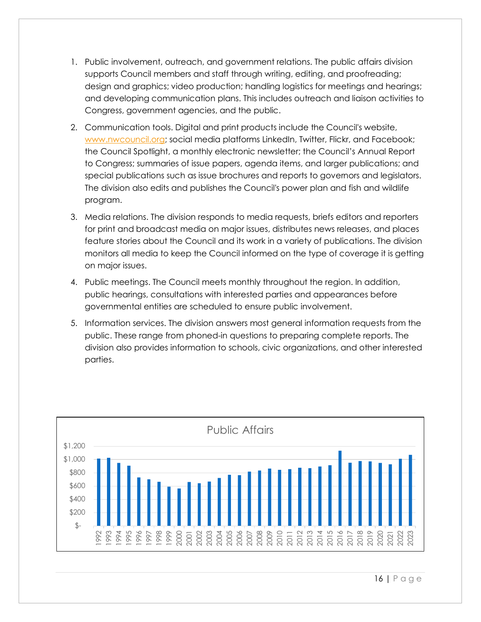- 1. Public involvement, outreach, and government relations. The public affairs division supports Council members and staff through writing, editing, and proofreading; design and graphics; video production; handling logistics for meetings and hearings; and developing communication plans. This includes outreach and liaison activities to Congress, government agencies, and the public.
- 2. Communication tools. Digital and print products include the Council's website, [www.nwcouncil.org;](https://www.nwcouncil.org/) social media platforms LinkedIn, Twitter, Flickr, and Facebook; the Council Spotlight, a monthly electronic newsletter; the Council's Annual Report to Congress; summaries of issue papers, agenda items, and larger publications; and special publications such as issue brochures and reports to governors and legislators. The division also edits and publishes the Council's power plan and fish and wildlife program.
- 3. Media relations. The division responds to media requests, briefs editors and reporters for print and broadcast media on major issues, distributes news releases, and places feature stories about the Council and its work in a variety of publications. The division monitors all media to keep the Council informed on the type of coverage it is getting on major issues.
- 4. Public meetings. The Council meets monthly throughout the region. In addition, public hearings, consultations with interested parties and appearances before governmental entities are scheduled to ensure public involvement.
- 5. Information services. The division answers most general information requests from the public. These range from phoned-in questions to preparing complete reports. The division also provides information to schools, civic organizations, and other interested parties.



16 | Page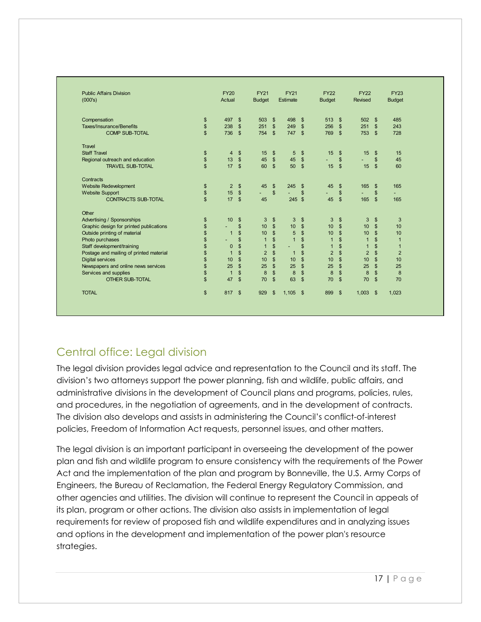| <b>Public Affairs Division</b><br>(000's) |               | <b>FY20</b><br>Actual |                | <b>FY21</b><br><b>Budget</b> |                | <b>FY21</b><br>Estimate |                | <b>FY22</b><br><b>Budget</b> |                         | <b>FY22</b><br>Revised   |                         | <b>FY23</b><br><b>Budget</b> |
|-------------------------------------------|---------------|-----------------------|----------------|------------------------------|----------------|-------------------------|----------------|------------------------------|-------------------------|--------------------------|-------------------------|------------------------------|
| Compensation                              | \$            | 497                   | \$             | 503                          | $\mathbb{S}$   | 498                     | $\mathfrak{S}$ | 513                          | \$                      | 502                      | <b>S</b>                | 485                          |
| <b>Taxes/Insurance/Benefits</b>           | \$            | 238                   | $\mathbb{S}$   | 251                          | $\mathbb{S}$   | 249                     | $\sqrt[6]{3}$  | 256                          | \$                      | 251                      | \$                      | 243                          |
| <b>COMP SUB-TOTAL</b>                     | $\mathsf{\$}$ | 736                   | $\mathbb{S}$   | 754                          | $\mathbb{S}$   | 747                     | $\sqrt[6]{3}$  | 769                          | $\frac{1}{2}$           | 753                      | $\mathbf{\hat{s}}$      | 728                          |
| Travel                                    |               |                       |                |                              |                |                         |                |                              |                         |                          |                         |                              |
| <b>Staff Travel</b>                       | \$            | 4                     | \$             | 15                           | \$             | 5                       | $\frac{1}{2}$  | 15                           | \$                      | 15                       | \$                      | 15                           |
| Regional outreach and education           | \$            | 13                    | $\mathfrak{s}$ | 45                           | $$\mathbb{S}$$ | 45                      | \$             | $\sim$                       | \$                      | ÷                        | \$                      | 45                           |
| <b>TRAVEL SUB-TOTAL</b>                   | $\mathbb{S}$  | 17                    | \$             | 60                           | $\mathfrak{S}$ | 50                      | $\mathfrak{s}$ | 15                           | $\mathsf{\$}$           | 15                       | \$                      | 60                           |
| Contracts                                 |               |                       |                |                              |                |                         |                |                              |                         |                          |                         |                              |
| Website Redevelopment                     | \$            | $\overline{2}$        | $\mathbb{S}$   | 45                           | $\$\$          | 245                     | \$             | 45                           | $\mathfrak{S}$          | 165                      | \$                      | 165                          |
| <b>Website Support</b>                    | \$            | 15                    | $\mathsf{\$}$  | $\blacksquare$               | $\mathbb{S}$   | $\mathcal{L}^{\pm}$     | \$             | $\overline{\phantom{a}}$     | \$                      | $\overline{\phantom{a}}$ | \$                      | ÷.                           |
| <b>CONTRACTS SUB-TOTAL</b>                | $\mathsf{\$}$ | 17                    | $\mathfrak{s}$ | 45                           |                | 245                     | $\sqrt{2}$     | 45                           | \$                      | 165                      | $\mathbb{S}$            | 165                          |
| Other                                     |               |                       |                |                              |                |                         |                |                              |                         |                          |                         |                              |
| Advertising / Sponsorships                | \$            | 10                    | \$             | 3                            | $\$\$          | 3                       | $\frac{1}{2}$  | 3                            | $\frac{1}{2}$           | 3                        | \$                      | 3                            |
| Graphic design for printed publications   | \$            | ٠                     | $\mathbb{S}$   | 10                           | $\mathbb{S}$   | 10                      | $\mathbb{S}$   | 10                           | $\mathsf{\$}$           | 10                       | \$                      | 10                           |
| Outside printing of material              | \$            | $\overline{1}$        | \$             | 10                           | $\mathsf{\$}$  | 5                       | \$             | 10                           | $\sqrt[6]{\frac{1}{2}}$ | 10                       | $\sqrt[6]{\frac{1}{2}}$ | 10                           |
| Photo purchases                           | \$            |                       | \$             | $\mathbf{1}$                 | \$             | $\overline{1}$          | \$             | $\mathbf{1}$                 | \$                      | $\mathbf{1}$             | \$                      | $\mathbf{1}$                 |
| Staff development/training                | \$            | $\mathbf 0$           | \$             | $\mathbf{1}$                 | \$             | ٠                       | \$             | $\overline{1}$               | \$                      | $\mathbf{1}$             | \$                      | $\mathbf{1}$                 |
| Postage and mailing of printed material   | \$            | $\overline{1}$        | \$             | $\overline{2}$               | $\mathsf{\$}$  | $\mathbf{1}$            | $\mathsf{\$}$  | $\overline{2}$               | $\sqrt[6]{\frac{1}{2}}$ | $\overline{2}$           | $\sqrt[6]{\frac{1}{2}}$ | $\overline{2}$               |
| <b>Digital services</b>                   | \$            | 10                    | $\mathbf{\$}$  | 10                           | $\mathbb{S}$   | 10                      | $\mathbb{S}$   | 10                           | \$                      | 10                       | \$                      | 10                           |
| Newspapers and online news services       | \$            | 25                    | $\mathbb{S}$   | 25                           | $\mathbb{S}$   | 25                      | $\mathsf{\$}$  | 25                           | $\sqrt[6]{\frac{1}{2}}$ | 25                       | $\sqrt[6]{3}$           | 25                           |
| Services and supplies                     | \$            | $\overline{1}$        | \$             | 8                            | \$             | $\boldsymbol{8}$        | \$             | 8                            | \$                      | $\boldsymbol{8}$         | $\sqrt[6]{\frac{1}{2}}$ | 8                            |
| <b>OTHER SUB-TOTAL</b>                    | \$            | 47                    | $\mathfrak{s}$ | 70                           | \$             | 63                      | $\mathfrak{s}$ | 70                           | \$                      | 70                       | \$                      | 70                           |
| <b>TOTAL</b>                              | $\mathsf{\$}$ | 817                   | \$             | 929                          | $\$\$          | 1,105                   | $\sqrt[6]{3}$  | 899                          | \$                      | 1,003                    | <b>S</b>                | 1,023                        |

## Central office: Legal division

The legal division provides legal advice and representation to the Council and its staff. The division's two attorneys support the power planning, fish and wildlife, public affairs, and administrative divisions in the development of Council plans and programs, policies, rules, and procedures, in the negotiation of agreements, and in the development of contracts. The division also develops and assists in administering the Council's conflict-of-interest policies, Freedom of Information Act requests, personnel issues, and other matters.

The legal division is an important participant in overseeing the development of the power plan and fish and wildlife program to ensure consistency with the requirements of the Power Act and the implementation of the plan and program by Bonneville, the U.S. Army Corps of Engineers, the Bureau of Reclamation, the Federal Energy Regulatory Commission, and other agencies and utilities. The division will continue to represent the Council in appeals of its plan, program or other actions. The division also assists in implementation of legal requirements for review of proposed fish and wildlife expenditures and in analyzing issues and options in the development and implementation of the power plan's resource strategies.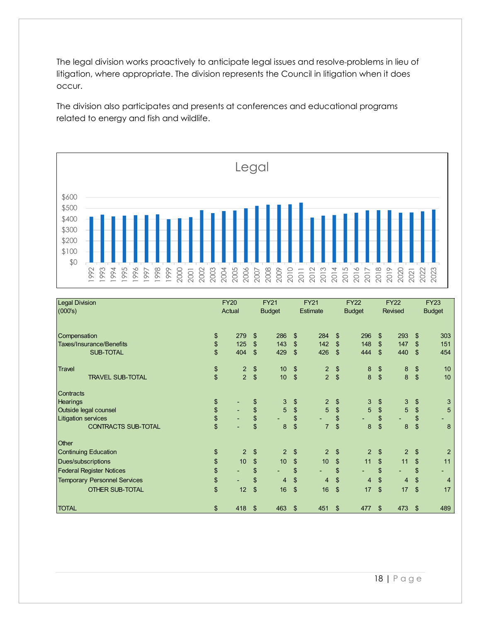The legal division works proactively to anticipate legal issues and resolve problems in lieu of litigation, where appropriate. The division represents the Council in litigation when it does occur.

The division also participates and presents at conferences and educational programs related to energy and fish and wildlife.



| <b>Legal Division</b><br>(000's)    | <b>FY20</b> | Actual         |                           | <b>FY21</b><br><b>Budget</b> |                         | <b>FY21</b><br>Estimate |                         | <b>FY22</b><br><b>Budget</b> |                | <b>FY22</b><br><b>Revised</b> |                                                   | <b>FY23</b><br><b>Budget</b> |
|-------------------------------------|-------------|----------------|---------------------------|------------------------------|-------------------------|-------------------------|-------------------------|------------------------------|----------------|-------------------------------|---------------------------------------------------|------------------------------|
|                                     |             |                |                           |                              |                         |                         |                         |                              |                |                               |                                                   |                              |
| Compensation                        | \$          | 279            | $\mathfrak{S}$            | 286                          | $\mathfrak{S}$          | 284                     | \$                      | 296                          | \$             | 293                           | \$                                                | 303                          |
| <b>Taxes/Insurance/Benefits</b>     | \$          | 125            | $\boldsymbol{\mathsf{S}}$ | 143                          | $\mathfrak{F}$          | 142                     | \$                      | 148                          | \$             | 147                           | \$                                                | 151                          |
| <b>SUB-TOTAL</b>                    | \$          | 404            | $\mathfrak{s}$            | 429                          | $\mathfrak{F}$          | 426                     | $\mathfrak{F}$          | 444                          | $\mathfrak{S}$ | 440                           | \$                                                | 454                          |
| <b>Travel</b>                       | \$          | $\overline{2}$ | \$                        | 10 <sup>1</sup>              | $\frac{3}{2}$           | $\overline{2}$          | \$                      | 8                            | \$             | $\bf 8$                       | \$                                                | 10                           |
| <b>TRAVEL SUB-TOTAL</b>             | \$          | $\overline{2}$ | $\sqrt[6]{\frac{1}{2}}$   | 10                           | $\sqrt[6]{\frac{1}{2}}$ | $\overline{2}$          | $\sqrt[6]{\frac{1}{2}}$ | $\boldsymbol{8}$             | $\frac{1}{2}$  | $\overline{8}$                | \$                                                | 10                           |
| <b>Contracts</b>                    |             |                |                           |                              |                         |                         |                         |                              |                |                               |                                                   |                              |
| <b>Hearings</b>                     | \$          |                | \$                        | 3                            | \$                      | $\overline{2}$          | \$                      | 3                            | \$             | 3                             | \$                                                | 3                            |
| Outside legal counsel               |             | ÷.             | \$                        | 5                            | \$                      | 5                       | \$                      | 5                            | $\,$           | 5                             | $\, \, \raisebox{-1.5pt}{\text{\circle*{1.5}}}\,$ | 5                            |
| Litigation services                 | \$          |                | \$                        |                              | \$                      |                         | \$                      |                              | \$             |                               | \$                                                | ٠                            |
| <b>CONTRACTS SUB-TOTAL</b>          | \$          |                | \$                        | 8                            | \$                      | $\overline{7}$          | $\mathfrak{S}$          | 8                            | $\sqrt{2}$     | 8                             | $\mathfrak{S}$                                    | 8                            |
| <b>Other</b>                        |             |                |                           |                              |                         |                         |                         |                              |                |                               |                                                   |                              |
| <b>Continuing Education</b>         | \$          | $\overline{2}$ | \$                        | $\overline{2}$               | \$                      | $\overline{2}$          | \$                      | $\overline{2}$               | \$             | $\overline{2}$                | \$                                                | $\overline{2}$               |
| Dues/subscriptions                  | \$          | 10             | $\mathsf{\$}$             | 10                           | $\mathfrak{F}$          | 10                      | $\mathfrak{S}$          | 11                           | $\mathfrak{S}$ | 11                            | \$                                                | 11                           |
| <b>Federal Register Notices</b>     | \$          | ٠              | \$                        |                              | \$                      | ٠                       | \$                      | ÷,                           | \$             | ٠                             | \$                                                | ٠                            |
| <b>Temporary Personnel Services</b> | \$          | ٠              | \$                        | 4                            | $\mathfrak{F}$          | 4                       | $\mathfrak{S}$          | 4                            | \$             | $\overline{4}$                | \$                                                | 4                            |
| <b>OTHER SUB-TOTAL</b>              | \$          | 12             | \$                        | 16                           | $\mathfrak{S}$          | 16                      | $\mathfrak{L}$          | 17                           | \$             | 17                            | \$                                                | 17                           |
| <b>TOTAL</b>                        | \$          | 418            | $\mathfrak{s}$            | 463                          | \$                      | 451                     | \$                      | 477                          | \$             | 473                           | \$                                                | 489                          |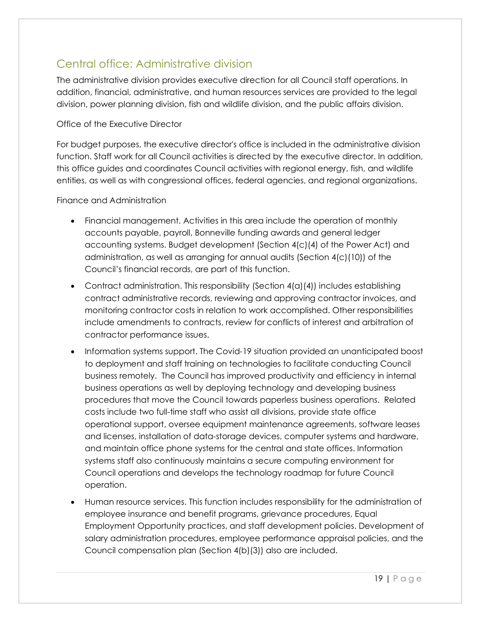## Central office: Administrative division

The administrative division provides executive direction for all Council staff operations. In addition, financial, administrative, and human resources services are provided to the legal division, power planning division, fish and wildlife division, and the public affairs division.

#### Office of the Executive Director

For budget purposes, the executive director's office is included in the administrative division function. Staff work for all Council activities is directed by the executive director. In addition, this office guides and coordinates Council activities with regional energy, fish, and wildlife entities, as well as with congressional offices, federal agencies, and regional organizations.

#### Finance and Administration

- Financial management. Activities in this area include the operation of monthly accounts payable, payroll, Bonneville funding awards and general ledger accounting systems. Budget development (Section 4(c)(4) of the Power Act) and administration, as well as arranging for annual audits (Section 4(c)(10)) of the Council's financial records, are part of this function.
- Contract administration. This responsibility (Section  $4(a)(4)$ ) includes establishing contract administrative records, reviewing and approving contractor invoices, and monitoring contractor costs in relation to work accomplished. Other responsibilities include amendments to contracts, review for conflicts of interest and arbitration of contractor performance issues.
- Information systems support. The Covid-19 situation provided an unanticipated boost to deployment and staff training on technologies to facilitate conducting Council business remotely. The Council has improved productivity and efficiency in internal business operations as well by deploying technology and developing business procedures that move the Council towards paperless business operations. Related costs include two full-time staff who assist all divisions, provide state office operational support, oversee equipment maintenance agreements, software leases and licenses, installation of data-storage devices, computer systems and hardware, and maintain office phone systems for the central and state offices. Information systems staff also continuously maintains a secure computing environment for Council operations and develops the technology roadmap for future Council operation.
- Human resource services. This function includes responsibility for the administration of employee insurance and benefit programs, grievance procedures, Equal Employment Opportunity practices, and staff development policies. Development of salary administration procedures, employee performance appraisal policies, and the Council compensation plan (Section 4(b)(3)) also are included.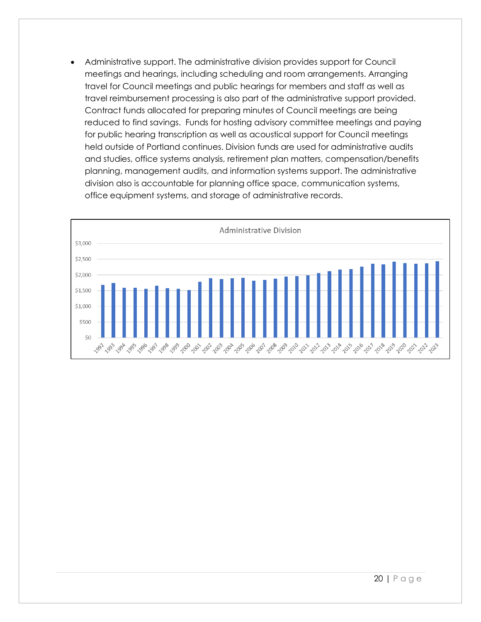• Administrative support. The administrative division provides support for Council meetings and hearings, including scheduling and room arrangements. Arranging travel for Council meetings and public hearings for members and staff as well as travel reimbursement processing is also part of the administrative support provided. Contract funds allocated for preparing minutes of Council meetings are being reduced to find savings. Funds for hosting advisory committee meetings and paying for public hearing transcription as well as acoustical support for Council meetings held outside of Portland continues. Division funds are used for administrative audits and studies, office systems analysis, retirement plan matters, compensation/benefits planning, management audits, and information systems support. The administrative division also is accountable for planning office space, communication systems, office equipment systems, and storage of administrative records.

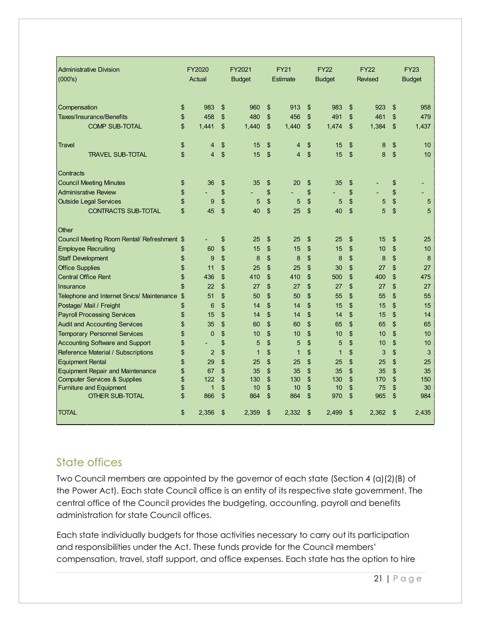| <b>Administrative Division</b><br>(000's)   | FY2020<br>Actual     | FY2021<br><b>Budget</b> | <b>FY21</b><br>Estimate | <b>FY22</b><br><b>Budget</b> | <b>FY22</b><br><b>Revised</b> | <b>FY23</b><br><b>Budget</b> |
|---------------------------------------------|----------------------|-------------------------|-------------------------|------------------------------|-------------------------------|------------------------------|
| Compensation                                | \$<br>983            | \$<br>960               | \$<br>913               | \$<br>983                    | \$<br>923                     | \$<br>958                    |
| Taxes/Insurance/Benefits                    | \$<br>458            | \$<br>480               | \$<br>456               | \$<br>491                    | \$<br>461                     | \$<br>479                    |
| <b>COMP SUB-TOTAL</b>                       | \$<br>1.441          | \$<br>1.440             | \$<br>1,440             | \$<br>1,474                  | \$<br>1,384                   | \$<br>1,437                  |
| Travel                                      | \$<br>4              | \$<br>15                | \$<br>4                 | \$<br>15                     | \$<br>8                       | \$<br>10                     |
| <b>TRAVEL SUB-TOTAL</b>                     | \$<br>4              | \$<br>15                | \$<br>$\overline{4}$    | \$<br>15                     | \$<br>8                       | \$<br>10                     |
| Contracts                                   |                      |                         |                         |                              |                               |                              |
| <b>Council Meeting Minutes</b>              | \$<br>36             | \$<br>35                | \$<br>20                | \$<br>35                     | \$                            | \$                           |
| <b>Adminisrative Review</b>                 | \$                   | \$                      | \$                      | \$                           | \$                            | \$                           |
| <b>Outside Legal Services</b>               | \$<br>9              | \$<br>5                 | \$<br>$\sqrt{5}$        | \$<br>5                      | \$<br>5                       | \$<br>5                      |
| <b>CONTRACTS SUB-TOTAL</b>                  | \$<br>45             | \$<br>40                | \$<br>25                | \$<br>40                     | \$<br>5                       | \$<br>5                      |
| Other                                       |                      |                         |                         |                              |                               |                              |
| Council Meeting Room Rental/ Refreshment \$ | ٠                    | \$<br>25                | \$<br>25                | \$<br>25                     | \$<br>15                      | \$<br>25                     |
| <b>Employee Recruiting</b>                  | \$<br>60             | \$<br>15                | \$<br>15                | \$<br>15                     | \$<br>10                      | \$<br>10                     |
| <b>Staff Development</b>                    | \$<br>9              | \$<br>8                 | \$<br>8                 | \$<br>8                      | \$<br>8                       | \$<br>8                      |
| <b>Office Supplies</b>                      | \$<br>11             | \$<br>25                | \$<br>25                | \$<br>30                     | \$<br>27                      | \$<br>27                     |
| <b>Central Office Rent</b>                  | \$<br>436            | \$<br>410               | \$<br>410               | \$<br>500                    | \$<br>400                     | \$<br>475                    |
| Insurance                                   | \$<br>22             | \$<br>27                | \$<br>27                | \$<br>27                     | \$<br>27                      | \$<br>27                     |
| Telephone and Internet Srvcs/ Maintenance   | \$<br>51             | \$<br>50                | \$<br>50                | \$<br>55                     | \$<br>55                      | \$<br>55                     |
| Postage/ Mail / Freight                     | \$<br>6              | \$<br>14                | \$<br>14                | \$<br>15                     | \$<br>15                      | \$<br>15                     |
| <b>Payroll Processing Services</b>          | \$<br>15             | \$<br>14                | \$<br>14                | \$<br>14                     | \$<br>15                      | \$<br>14                     |
| <b>Audit and Accounting Services</b>        | \$<br>35             | \$<br>60                | \$<br>60                | \$<br>65                     | \$<br>65                      | \$<br>65                     |
| <b>Temporary Personnel Services</b>         | \$<br>$\mathbf{0}$   | \$<br>10                | \$<br>10                | \$<br>10                     | \$<br>10                      | \$<br>10                     |
| <b>Accounting Software and Support</b>      | \$                   | \$<br>5                 | \$<br>5                 | \$<br>5                      | \$<br>10                      | \$<br>10                     |
| Reference Material / Subscriptions          | \$<br>$\overline{2}$ | \$<br>$\mathbf{1}$      | \$<br>$\mathbf{1}$      | \$<br>$\mathbf{1}$           | \$<br>3                       | \$<br>3                      |
| <b>Equipment Rental</b>                     | \$<br>29             | \$<br>25                | \$<br>25                | \$<br>25                     | \$<br>25                      | \$<br>25                     |
| <b>Equipment Repair and Maintenance</b>     | \$<br>67             | \$<br>35                | \$<br>35                | \$<br>35                     | \$<br>35                      | \$<br>35                     |
| <b>Computer Services &amp; Supplies</b>     | \$<br>122            | \$<br>130               | \$<br>130               | \$<br>130                    | \$<br>170                     | \$<br>150                    |
| <b>Furniture and Equipment</b>              | \$<br>$\mathbf{1}$   | \$<br>10                | \$<br>10                | \$<br>10                     | \$<br>75                      | \$<br>30                     |
| <b>OTHER SUB-TOTAL</b>                      | \$<br>866            | \$<br>864               | \$<br>864               | \$<br>970                    | \$<br>965                     | \$<br>984                    |
| <b>TOTAL</b>                                | \$<br>2,356          | \$<br>2,359             | \$<br>2,332             | \$<br>2,499                  | \$<br>2,362                   | \$<br>2,435                  |

## State offices

Two Council members are appointed by the governor of each state (Section 4 (a)(2)(B) of the Power Act). Each state Council office is an entity of its respective state government. The central office of the Council provides the budgeting, accounting, payroll and benefits administration for state Council offices.

Each state individually budgets for those activities necessary to carry out its participation and responsibilities under the Act. These funds provide for the Council members' compensation, travel, staff support, and office expenses. Each state has the option to hire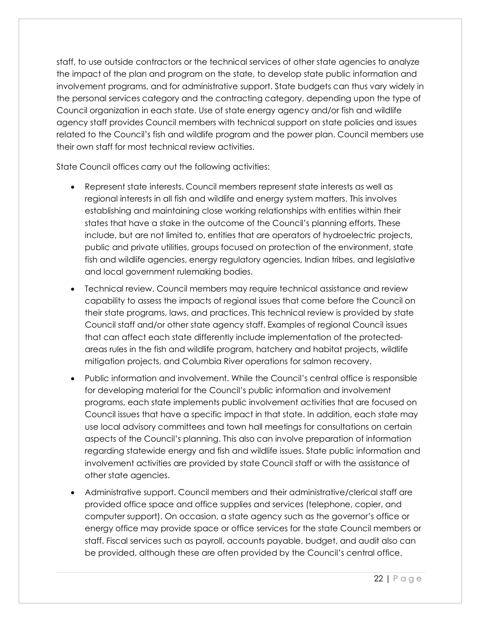staff, to use outside contractors or the technical services of other state agencies to analyze the impact of the plan and program on the state, to develop state public information and involvement programs, and for administrative support. State budgets can thus vary widely in the personal services category and the contracting category, depending upon the type of Council organization in each state. Use of state energy agency and/or fish and wildlife agency staff provides Council members with technical support on state policies and issues related to the Council's fish and wildlife program and the power plan. Council members use their own staff for most technical review activities.

State Council offices carry out the following activities:

- Represent state interests. Council members represent state interests as well as regional interests in all fish and wildlife and energy system matters. This involves establishing and maintaining close working relationships with entities within their states that have a stake in the outcome of the Council's planning efforts. These include, but are not limited to, entities that are operators of hydroelectric projects, public and private utilities, groups focused on protection of the environment, state fish and wildlife agencies, energy regulatory agencies, Indian tribes, and legislative and local government rulemaking bodies.
- Technical review. Council members may require technical assistance and review capability to assess the impacts of regional issues that come before the Council on their state programs, laws, and practices. This technical review is provided by state Council staff and/or other state agency staff. Examples of regional Council issues that can affect each state differently include implementation of the protectedareas rules in the fish and wildlife program, hatchery and habitat projects, wildlife mitigation projects, and Columbia River operations for salmon recovery.
- Public information and involvement. While the Council's central office is responsible for developing material for the Council's public information and involvement programs, each state implements public involvement activities that are focused on Council issues that have a specific impact in that state. In addition, each state may use local advisory committees and town hall meetings for consultations on certain aspects of the Council's planning. This also can involve preparation of information regarding statewide energy and fish and wildlife issues. State public information and involvement activities are provided by state Council staff or with the assistance of other state agencies.
- Administrative support. Council members and their administrative/clerical staff are provided office space and office supplies and services (telephone, copier, and computer support). On occasion, a state agency such as the governor's office or energy office may provide space or office services for the state Council members or staff. Fiscal services such as payroll, accounts payable, budget, and audit also can be provided, although these are often provided by the Council's central office.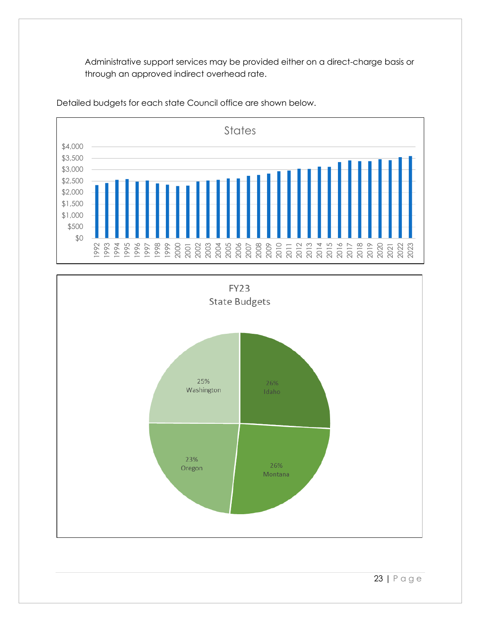Administrative support services may be provided either on a direct-charge basis or through an approved indirect overhead rate.



Detailed budgets for each state Council office are shown below.

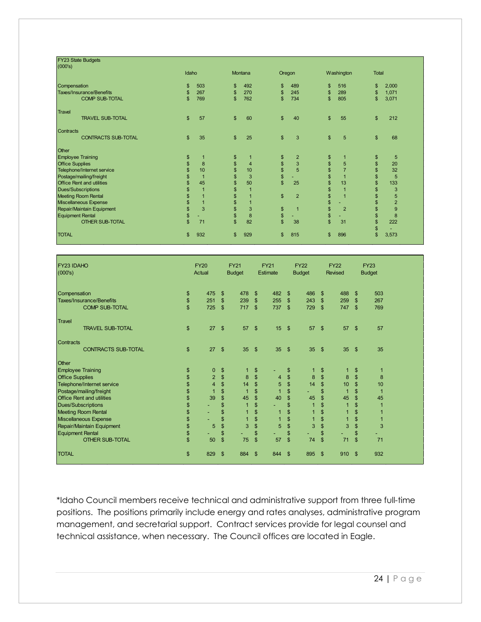| FY23 State Budgets<br>(000's)    |                |                |                |                |                |                |              |                |          |                |
|----------------------------------|----------------|----------------|----------------|----------------|----------------|----------------|--------------|----------------|----------|----------------|
|                                  | Idaho          |                |                | Montana        |                | Oregon         |              | Washington     | Total    |                |
| Compensation                     | \$             | 503            | \$             | 492            | \$             | 489            | \$           | 516            | \$       | 2,000          |
| <b>Taxes/Insurance/Benefits</b>  | \$             | 267            | $\mathfrak{S}$ | 270            | \$             | 245            | \$           | 289            | \$       | 1,071          |
| <b>COMP SUB-TOTAL</b>            | $\mathbf{s}$   | 769            | $\mathfrak{L}$ | 762            | \$             | 734            | \$           | 805            | \$       | 3,071          |
| <b>Travel</b>                    |                |                |                |                |                |                |              |                |          |                |
| <b>TRAVEL SUB-TOTAL</b>          | $\mathfrak{S}$ | 57             | $\mathbf{s}$   | 60             | $\mathfrak{S}$ | 40             | \$           | 55             | \$       | 212            |
| Contracts                        |                |                |                |                |                |                |              |                |          |                |
| <b>CONTRACTS SUB-TOTAL</b>       | $\mathfrak{L}$ | 35             | $\mathbf{s}$   | 25             | $\frac{2}{3}$  | 3              | \$           | 5              | \$       | 68             |
| Other                            |                |                |                |                |                |                |              |                |          |                |
| <b>Employee Training</b>         | \$             | 1              | \$             |                | \$             | $\overline{2}$ | \$           | 1              | \$       | 5              |
| <b>Office Supplies</b>           | \$             | 8              | \$             | $\overline{4}$ | \$             | 3              | \$           | 5              | \$       | 20             |
| Telephone/Internet service       | \$             | 10             | \$             | 10             | \$             | 5              | \$           | $\overline{7}$ | \$       | 32             |
| Postage/mailing/freight          | \$             | $\overline{1}$ | $\mathfrak{s}$ | 3              | \$             | ٠              | \$           | $\overline{1}$ | \$       | 5              |
| <b>Office Rent and utilities</b> | \$             | 45             | \$             | 50             | \$             | 25             | \$           | 13             | \$       | 133            |
| Dues/Subscriptions               | \$             | 1              | \$             |                |                |                | \$           | $\overline{1}$ | \$       | 3              |
| Meeting Room Rental              | \$             | $\overline{1}$ | $\mathfrak{s}$ |                | $\sqrt{2}$     | $\overline{2}$ | \$           | $\overline{1}$ | \$       | 5              |
| Miscellaneous Expense            |                | $\overline{1}$ | \$             |                |                |                | \$           |                | \$       | $\overline{2}$ |
| Repair/Maintain Equipment        | \$             | 3              | \$             | 3              | \$             | $\mathbf{1}$   | \$           | $\overline{2}$ | \$       | 9              |
| <b>Equipment Rental</b>          | \$             |                | \$             | 8              | \$             |                | \$           |                | \$       | 8              |
| <b>OTHER SUB-TOTAL</b>           | $\mathbf{\$}$  | 71             | $\mathbf{s}$   | 82             | $\mathbf{\$}$  | 38             | $\mathbb{S}$ | 31             | \$<br>\$ | 222            |
| <b>TOTAL</b>                     | \$             | 932            | \$             | 929            | \$             | 815            | \$           | 896            | \$       | 3,573          |

| <b>FY23 IDAHO</b><br>(000's)     |              | <b>FY20</b><br>Actual |                | <b>FY21</b><br><b>Budget</b> |                | <b>FY21</b><br>Estimate |                | <b>FY22</b><br><b>Budget</b> |                | <b>FY22</b><br>Revised |                | <b>FY23</b><br><b>Budget</b> |
|----------------------------------|--------------|-----------------------|----------------|------------------------------|----------------|-------------------------|----------------|------------------------------|----------------|------------------------|----------------|------------------------------|
| Compensation                     | \$           | 475                   | \$             | 478                          | \$             | 482                     | \$             | 486                          | \$             | 488                    | $\mathfrak{s}$ | 503                          |
| Taxes/Insurance/Benefits         | \$           | 251                   | \$             | 239                          | $\mathfrak{s}$ | 255                     | \$             | 243                          | \$             | 259                    | \$             | 267                          |
| <b>COMP SUB-TOTAL</b>            | $\mathbf{s}$ | 725                   | $\mathsf{\$}$  | 717                          | $\mathfrak{S}$ | 737                     | $\mathsf{\$}$  | 729                          | \$             | 747                    | $\mathbf{\$}$  | 769                          |
| <b>Travel</b>                    |              |                       |                |                              |                |                         |                |                              |                |                        |                |                              |
| <b>TRAVEL SUB-TOTAL</b>          | \$           | 27                    | $\mathsf{\$}$  | 57                           | $\sqrt{3}$     | 15                      | $\mathfrak{s}$ | 57                           | \$             | 57                     | $\mathfrak{F}$ | 57                           |
| Contracts                        |              |                       |                |                              |                |                         |                |                              |                |                        |                |                              |
| <b>CONTRACTS SUB-TOTAL</b>       | \$           | 27                    | $\mathsf{\$}$  | 35 <sup>5</sup>              | $\mathfrak{F}$ | 35                      | $\mathfrak{F}$ | 35 <sup>5</sup>              | \$             | 35                     | $\mathfrak{s}$ | 35                           |
| Other                            |              |                       |                |                              |                |                         |                |                              |                |                        |                |                              |
| <b>Employee Training</b>         | \$           | 0                     | \$             |                              | $\mathfrak{S}$ | ٠                       | \$             |                              | \$             |                        | $\mathfrak{s}$ |                              |
| <b>Office Supplies</b>           | \$           | $\overline{2}$        | \$             | 8                            | \$             | $\overline{4}$          | \$             | 8                            | \$             | $\bf 8$                | \$             | 8                            |
| Telephone/Internet service       | \$           | $\overline{4}$        | \$             | 14                           | $\mathbb{S}$   | 5                       | $\mathbb{S}$   | 14                           | $\mathfrak{s}$ | 10                     | $\mathsf{s}$   | 10                           |
| Postage/mailing/freight          | \$           | $\overline{1}$        | \$             | 1                            | \$             | $\overline{1}$          | \$             |                              | \$             | 1                      | \$             | 1                            |
| <b>Office Rent and utilities</b> | \$           | 39                    | \$             | 45                           | \$             | 40                      | \$             | 45                           | \$             | 45                     | \$             | 45                           |
| Dues/Subscriptions               | \$           |                       | \$             | $\overline{1}$               | \$             | ٠                       | \$             |                              | \$             | $\overline{1}$         | \$             |                              |
| <b>Meeting Room Rental</b>       | \$           | ٠                     | \$             |                              | \$             | $\mathbf{1}$            | \$             |                              | \$             |                        | \$             |                              |
| Miscellaneous Expense            | \$           |                       | \$             |                              | \$             | 1                       | \$             |                              | \$             |                        | \$             |                              |
| Repair/Maintain Equipment        | \$           | 5                     | \$             | 3                            | \$             | 5                       | \$             | 3                            | \$             | 3                      | \$             | 3                            |
| Equipment Rental                 | \$           |                       | \$             |                              | $\mathsf{\$}$  | ٠                       | \$             |                              | $\mathsf{\$}$  |                        | \$             | ٠                            |
| <b>OTHER SUB-TOTAL</b>           | \$           | 50                    | $\mathbb{S}$   | 75                           | $\mathsf{\$}$  | 57                      | \$             | 74                           | \$             | 71                     | \$             | 71                           |
| <b>TOTAL</b>                     | \$           | 829                   | $\mathfrak{F}$ | 884                          | \$             | 844                     | \$             | 895                          | \$             | 910                    | -\$            | 932                          |

\*Idaho Council members receive technical and administrative support from three full-time positions. The positions primarily include energy and rates analyses, administrative program management, and secretarial support. Contract services provide for legal counsel and technical assistance, when necessary. The Council offices are located in Eagle.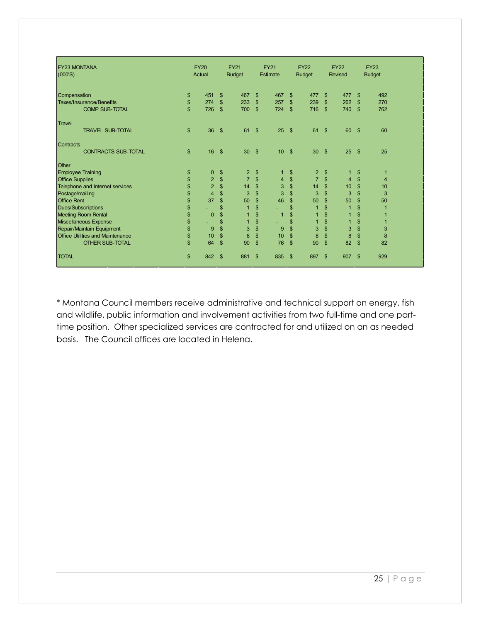| <b>FY23 MONTANA</b><br>(000'S)          | <b>FY20</b><br>Actual |               | <b>FY21</b><br><b>Budget</b> |                           | <b>FY21</b><br>Estimate |                    | <b>FY22</b><br><b>Budget</b> |                | <b>FY22</b><br><b>Revised</b> |                | <b>FY23</b><br><b>Budget</b> |
|-----------------------------------------|-----------------------|---------------|------------------------------|---------------------------|-------------------------|--------------------|------------------------------|----------------|-------------------------------|----------------|------------------------------|
| Compensation                            | \$<br>451             | \$            | 467                          | $\boldsymbol{\mathsf{S}}$ | 467                     | \$                 | 477                          | $\mathfrak{S}$ | 477                           | $\mathfrak{S}$ | 492                          |
| <b>Taxes/Insurance/Benefits</b>         | \$<br>274             | $\mathsf{\$}$ | 233                          | $\boldsymbol{\mathsf{S}}$ | 257                     | \$                 | 239                          | $\frac{1}{2}$  | 262                           | \$             | 270                          |
| <b>COMP SUB-TOTAL</b>                   | \$<br>726             | $\mathbf{\$}$ | 700                          | $\mathsf{\$}$             | 724                     | - \$               | 716                          | $\mathfrak{S}$ | 740                           | $\mathbf{\$}$  | 762                          |
| Travel                                  |                       |               |                              |                           |                         |                    |                              |                |                               |                |                              |
| <b>TRAVEL SUB-TOTAL</b>                 | \$<br>36              | -\$           | 61                           | $\mathbf{\$}$             | 25                      | $\mathbf{s}$       | 61                           | \$             | 60                            | - \$           | 60                           |
| Contracts                               |                       |               |                              |                           |                         |                    |                              |                |                               |                |                              |
| <b>CONTRACTS SUB-TOTAL</b>              | \$<br>16              | -\$           | 30                           | $\boldsymbol{\mathsf{S}}$ | 10                      | $\mathbf{\hat{s}}$ | 30                           | $\mathfrak{S}$ | 25                            | - \$           | 25                           |
| Other                                   |                       |               |                              |                           |                         |                    |                              |                |                               |                |                              |
| <b>Employee Training</b>                | \$<br>$\mathbf 0$     | \$            | 2                            | \$                        | 1                       | \$                 | 2                            | \$             |                               | \$             | 1                            |
| <b>Office Supplies</b>                  | \$<br>$\overline{2}$  | \$            | $\overline{7}$               | \$                        | 4                       | \$                 | $\overline{7}$               | \$             | $\overline{4}$                | \$             | $\overline{4}$               |
| Telephone and Internet services         | \$<br>$\overline{2}$  | \$            | 14                           | \$                        | 3                       | \$                 | 14                           | \$             | 10                            | \$             | 10                           |
| Postage/mailing                         | \$<br>$\overline{4}$  | \$            | 3                            | $\mathsf{\$}$             | 3                       | \$                 | 3                            | $\mathbb{S}$   | $\overline{3}$                | \$             | 3                            |
| <b>Office Rent</b>                      | \$<br>37              | \$            | 50                           | \$                        | 46                      | \$                 | 50                           | \$             | 50                            | \$             | 50                           |
| Dues/Subscriptions                      | \$                    | \$            | $\overline{1}$               | \$                        | ٠                       | \$                 | $\overline{1}$               | $\mathbb{S}$   | $\overline{1}$                | \$             | 1                            |
| <b>Meeting Room Rental</b>              | \$<br>$\mathbf{0}$    | \$            |                              | \$                        | $\overline{1}$          | \$                 |                              | \$             |                               | \$             |                              |
| Miscellaneous Expense                   | \$                    | \$            | 1                            | \$                        |                         | \$                 | 1                            | \$             |                               | \$             | 1                            |
| Repair/Maintain Equipment               | \$<br>9               | \$            | 3                            | \$                        | 9                       | \$                 | 3                            | \$             | 3                             | \$             | 3                            |
| <b>Office Utilities and Maintenance</b> | \$<br>10              | \$            | 8                            | \$                        | 10                      | \$                 | 8                            | \$             | 8                             | \$             | 8                            |
| <b>OTHER SUB-TOTAL</b>                  | \$<br>64              | \$            | 90                           | \$                        | 76                      | \$                 | 90                           | $\mathsf{\$}$  | 82                            | \$             | 82                           |
| <b>TOTAL</b>                            | \$<br>842             | -\$           | 881                          | \$                        | 835                     | - \$               | 897                          | \$             | 907                           | \$             | 929                          |

\* Montana Council members receive administrative and technical support on energy, fish and wildlife, public information and involvement activities from two full-time and one parttime position. Other specialized services are contracted for and utilized on an as needed basis. The Council offices are located in Helena.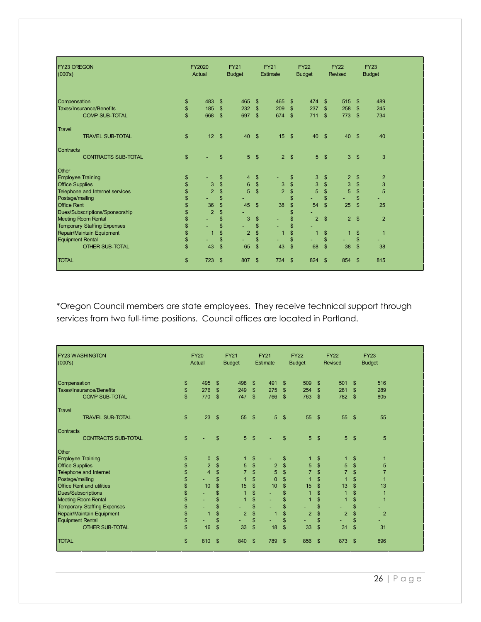| <b>FY23 OREGON</b><br>(000's)              |                                 | <b>FY2020</b><br>Actual |                                  | <b>FY21</b><br><b>Budget</b> |                          | <b>FY21</b><br><b>Estimate</b> |                                  | <b>FY22</b><br><b>Budget</b> |                                | <b>FY22</b><br><b>Revised</b> |                                 | <b>FY23</b><br><b>Budget</b> |  |
|--------------------------------------------|---------------------------------|-------------------------|----------------------------------|------------------------------|--------------------------|--------------------------------|----------------------------------|------------------------------|--------------------------------|-------------------------------|---------------------------------|------------------------------|--|
| Compensation<br>Taxes/Insurance/Benefits   | $\frac{3}{2}$<br>$\mathfrak{S}$ | 483<br>185              | $\mathfrak{s}$<br>$\mathfrak{S}$ | 465<br>232                   | \$<br>$\mathfrak{S}$     | 465<br>209                     | $\mathfrak{s}$<br>$\mathfrak{s}$ | 474<br>237                   | $\mathbb{S}$<br>$\mathfrak{S}$ | 515<br>258                    | $\mathbf{\$}$<br>$\mathfrak{s}$ | 489<br>245                   |  |
| <b>COMP SUB-TOTAL</b>                      | $\mathbf{\$}$                   | 668                     | $\mathbf{s}$                     | 697                          | $\mathsf{\$}$            | 674                            | $\mathfrak{s}$                   | 711                          | $\mathbb{S}$                   | 773                           | \$                              | 734                          |  |
| <b>Travel</b><br><b>TRAVEL SUB-TOTAL</b>   | $\mathsf{\$}$                   | 12                      | $\mathbf{s}$                     | 40                           | $\mathbf{\$}$            | 15                             | $^{\circ}$                       | 40                           | $\mathbf{s}$                   | 40                            | $\mathbf{\hat{s}}$              | 40                           |  |
| Contracts<br><b>CONTRACTS SUB-TOTAL</b>    | $\mathfrak{s}$                  |                         | $\mathfrak{S}$                   | 5 <sup>5</sup>               | \$                       | 2 <sup>5</sup>                 |                                  | 5                            | \$                             | 3                             | $\sqrt[6]{3}$                   | 3                            |  |
| Other                                      |                                 |                         |                                  |                              |                          |                                |                                  |                              |                                |                               |                                 |                              |  |
| <b>Employee Training</b>                   | \$                              |                         | \$                               | 4                            | \$                       |                                | \$                               | 3                            | \$                             | $\overline{2}$                | $\frac{3}{2}$                   | $\overline{2}$               |  |
| <b>Office Supplies</b>                     | \$                              | $\sqrt{3}$              | \$                               | $\,6\,$                      | $\frac{1}{2}$            | 3                              | $\frac{1}{2}$                    | 3                            | \$                             | 3                             | \$                              | 3                            |  |
| Telephone and Internet services            | \$                              | $\overline{2}$          | \$                               | 5                            | \$                       | $\overline{2}$                 | \$                               | 5                            | \$                             | 5                             | \$                              | 5                            |  |
| Postage/mailing                            | \$                              |                         | \$                               |                              |                          |                                | $\mathsf{\$}$                    |                              | \$                             | ٠                             | \$                              |                              |  |
| <b>Office Rent</b>                         | \$                              | 36                      | \$                               | 45                           | $\mathfrak{s}$           | 38                             | \$                               | 54                           | $\mathsf{\$}$                  | 25                            | \$                              | 25                           |  |
| Dues/Subscriptions/Sponsorship             | $\frac{1}{2}$                   | $\overline{2}$          | \$                               |                              |                          |                                | \$                               |                              |                                |                               |                                 |                              |  |
| <b>Meeting Room Rental</b>                 | $\frac{1}{2}$                   |                         | \$                               | 3                            | $\frac{1}{2}$            | ٠                              | \$                               | $\overline{2}$               | $\mathbb{S}$                   | $\overline{2}$                | $\mathbf{\$}$                   | $\overline{2}$               |  |
| <b>Temporary Staffing Expenses</b>         | \$<br>$\mathsf{\$}$             | $\overline{1}$          | \$<br>$\mathbf{\$}$              | $\overline{2}$               | \$<br>$\mathbf{\hat{s}}$ | 1                              | \$<br>$\mathsf{\$}$              | $\overline{1}$               | $\mathfrak{S}$                 |                               |                                 | $\overline{1}$               |  |
| Repair/Maintain Equipment                  |                                 |                         | \$                               |                              | \$                       |                                | \$                               |                              |                                | $\mathbf{1}$                  | \$                              |                              |  |
| Equipment Rental<br><b>OTHER SUB-TOTAL</b> | \$<br>$\mathbf{\$}$             | 43                      | $\mathsf{\$}$                    | 65                           | \$                       | 43                             | \$                               | 68                           | \$<br>$\mathbf{\$}$            | 38                            | \$<br>$\boldsymbol{\mathsf{S}}$ | 38                           |  |
| <b>TOTAL</b>                               | $\mathfrak{s}$                  | 723                     | $\mathbf{\hat{s}}$               | 807                          | \$                       | 734 \$                         |                                  | 824                          | - \$                           | 854                           | $\mathbf{\hat{s}}$              | 815                          |  |

\*Oregon Council members are state employees. They receive technical support through services from two full-time positions. Council offices are located in Portland.

| <b>IFY23 WASHINGTON</b><br>(000's) | <b>FY20</b><br>Actual |                | <b>FY21</b><br><b>Budget</b> |                    | <b>FY21</b><br>Estimate |                | <b>FY22</b><br><b>Budget</b> |                | <b>FY22</b><br>Revised |                | <b>FY23</b><br><b>Budget</b> |
|------------------------------------|-----------------------|----------------|------------------------------|--------------------|-------------------------|----------------|------------------------------|----------------|------------------------|----------------|------------------------------|
| Compensation                       | \$<br>495             | \$             | 498                          | $\mathfrak{s}$     | 491                     | \$             | 509                          | $\mathsf{\$}$  | 501                    | -\$            | 516                          |
| <b>Taxes/Insurance/Benefits</b>    | \$<br>276             | $\mathsf{\$}$  | 249                          | $\mathbb{S}$       | 275                     | $\mathfrak{F}$ | 254                          | $\mathfrak{S}$ | 281                    | $\mathbf{\$}$  | 289                          |
| <b>COMP SUB-TOTAL</b>              | \$<br>770             | $\mathfrak{s}$ | 747                          | $\mathbf{\$}$      | 766                     | $\mathbf{\$}$  | 763                          | $\mathfrak{S}$ | 782                    | - \$           | 805                          |
| <b>Travel</b>                      |                       |                |                              |                    |                         |                |                              |                |                        |                |                              |
| <b>TRAVEL SUB-TOTAL</b>            | \$<br>23              | $\mathsf{\$}$  | 55                           | $\sqrt{3}$         | 5 <sup>1</sup>          | \$             | 55                           | $\mathfrak{F}$ | 55                     | $\sqrt{3}$     | 55                           |
| <b>Contracts</b>                   |                       |                |                              |                    |                         |                |                              |                |                        |                |                              |
| <b>CONTRACTS SUB-TOTAL</b>         | \$                    | \$             | 5                            | $\mathbf{\hat{s}}$ |                         | \$             | 5                            | $\mathfrak{S}$ | 5                      | \$             | 5                            |
| Other                              |                       |                |                              |                    |                         |                |                              |                |                        |                |                              |
| <b>Employee Training</b>           | \$<br>0               | \$             |                              | $\frac{3}{2}$      |                         | \$             |                              | \$             |                        | \$             |                              |
| <b>Office Supplies</b>             | \$<br>$\overline{2}$  | $\mathsf{\$}$  | 5                            | $\mathbf{\$}$      | $\overline{2}$          | $\mathbf{\$}$  | $\sqrt{5}$                   | $\mathbb{S}$   | 5                      | $\mathfrak{S}$ | 5                            |
| <b>Telephone and Internet</b>      | \$<br>$\overline{4}$  | \$             | $\overline{7}$               | $\mathbf{\$}$      | 5                       | \$             | $\overline{7}$               | \$             | $\overline{7}$         | $\mathfrak{s}$ |                              |
| Postage/mailing                    | \$                    | \$             |                              | \$                 | $\Omega$                | $\mathbf{\$}$  |                              | $\mathsf{\$}$  |                        | $\mathfrak{s}$ |                              |
| <b>Office Rent and utilities</b>   | \$<br>10              | \$             | 15                           | \$                 | 10                      | \$             | 15                           | $\frac{1}{2}$  | 13                     | $\frac{3}{2}$  | 13                           |
| Dues/Subscriptions                 | \$                    | \$             |                              | \$                 |                         | \$             | $\overline{1}$               | \$             |                        | \$             |                              |
| <b>Meeting Room Rental</b>         | \$                    | \$             |                              | \$                 |                         | \$             |                              | \$             |                        | \$             |                              |
| <b>Temporary Staffing Expenses</b> | \$                    | \$             | ٠                            | \$                 | ٠                       | \$             | ٠                            | \$             |                        | \$             |                              |
| Repair/Maintain Equipment          | \$<br>$\overline{1}$  | \$             | $\overline{2}$               | \$                 | 1                       | \$             | $\overline{2}$               | \$             | $\overline{2}$         | \$             | $\overline{2}$               |
| Equipment Rental                   | \$                    | \$             | ٠                            | \$                 | ٠                       | \$             | ٠                            | \$             |                        | \$             |                              |
| <b>OTHER SUB-TOTAL</b>             | \$<br>16              | $\mathsf{\$}$  | 33                           | \$                 | 18                      | \$             | 33                           | $\mathfrak{s}$ | 31                     | $\mathbb{S}$   | 31                           |
| <b>TOTAL</b>                       | \$<br>810             | $\mathfrak{s}$ | 840                          | \$                 | 789                     | \$             | 856                          | $\mathfrak{F}$ | 873                    | -\$            | 896                          |

26 | Page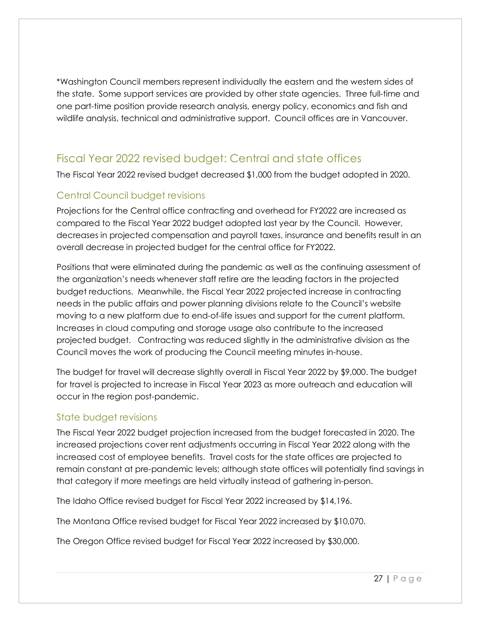\*Washington Council members represent individually the eastern and the western sides of the state. Some support services are provided by other state agencies. Three full-time and one part-time position provide research analysis, energy policy, economics and fish and wildlife analysis, technical and administrative support. Council offices are in Vancouver.

### Fiscal Year 2022 revised budget: Central and state offices

The Fiscal Year 2022 revised budget decreased \$1,000 from the budget adopted in 2020.

#### Central Council budget revisions

Projections for the Central office contracting and overhead for FY2022 are increased as compared to the Fiscal Year 2022 budget adopted last year by the Council. However, decreases in projected compensation and payroll taxes, insurance and benefits result in an overall decrease in projected budget for the central office for FY2022.

Positions that were eliminated during the pandemic as well as the continuing assessment of the organization's needs whenever staff retire are the leading factors in the projected budget reductions. Meanwhile, the Fiscal Year 2022 projected increase in contracting needs in the public affairs and power planning divisions relate to the Council's website moving to a new platform due to end-of-life issues and support for the current platform. Increases in cloud computing and storage usage also contribute to the increased projected budget. Contracting was reduced slightly in the administrative division as the Council moves the work of producing the Council meeting minutes in-house.

The budget for travel will decrease slightly overall in Fiscal Year 2022 by \$9,000. The budget for travel is projected to increase in Fiscal Year 2023 as more outreach and education will occur in the region post-pandemic.

#### State budget revisions

The Fiscal Year 2022 budget projection increased from the budget forecasted in 2020. The increased projections cover rent adjustments occurring in Fiscal Year 2022 along with the increased cost of employee benefits. Travel costs for the state offices are projected to remain constant at pre-pandemic levels; although state offices will potentially find savings in that category if more meetings are held virtually instead of gathering in-person.

The Idaho Office revised budget for Fiscal Year 2022 increased by \$14,196.

The Montana Office revised budget for Fiscal Year 2022 increased by \$10,070.

The Oregon Office revised budget for Fiscal Year 2022 increased by \$30,000.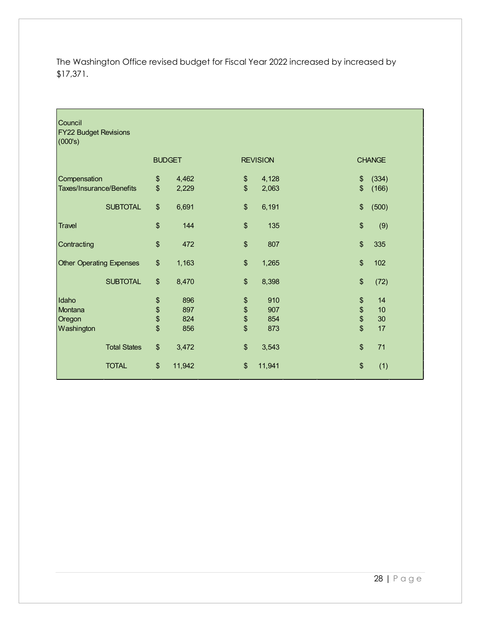The Washington Office revised budget for Fiscal Year 2022 increased by increased by \$17,371.

| Council<br><b>FY22 Budget Revisions</b><br>(000's) |                |               |               |                 |      |               |
|----------------------------------------------------|----------------|---------------|---------------|-----------------|------|---------------|
|                                                    |                | <b>BUDGET</b> |               | <b>REVISION</b> |      | <b>CHANGE</b> |
| Compensation                                       | \$             | 4,462         | \$            | 4,128           | \$   | (334)         |
| Taxes/Insurance/Benefits                           | $\mathfrak{s}$ | 2,229         | \$            | 2,063           | \$   | (166)         |
| <b>SUBTOTAL</b>                                    | \$             | 6,691         | \$            | 6,191           | \$   | (500)         |
| <b>Travel</b>                                      | \$             | 144           | \$            | 135             | \$   | (9)           |
| Contracting                                        | \$             | 472           | \$            | 807             | \$   | 335           |
| <b>Other Operating Expenses</b>                    | $\frac{1}{2}$  | 1,163         | \$            | 1,265           | \$   | 102           |
| <b>SUBTOTAL</b>                                    | \$             | 8,470         | \$            | 8,398           | \$   | (72)          |
| Idaho                                              | \$             | 896           | \$            | 910             | \$   | 14            |
| Montana                                            | \$             | 897           | \$            | 907             | \$\$ | 10            |
| Oregon                                             | \$             | 824           | $\frac{6}{3}$ | 854             |      | 30            |
| Washington                                         | \$             | 856           |               | 873             |      | 17            |
| <b>Total States</b>                                | $\frac{1}{2}$  | 3,472         | \$            | 3,543           | \$   | 71            |
| <b>TOTAL</b>                                       | \$             | 11,942        | \$            | 11,941          | \$   | (1)           |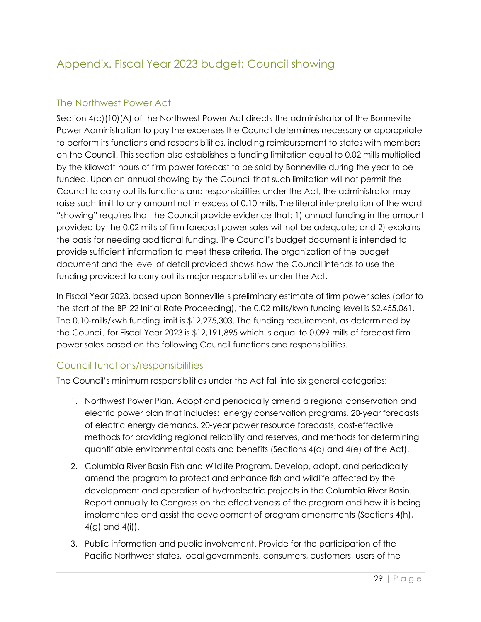## Appendix. Fiscal Year 2023 budget: Council showing

#### The Northwest Power Act

Section 4(c)(10)(A) of the Northwest Power Act directs the administrator of the Bonneville Power Administration to pay the expenses the Council determines necessary or appropriate to perform its functions and responsibilities, including reimbursement to states with members on the Council. This section also establishes a funding limitation equal to 0.02 mills multiplied by the kilowatt-hours of firm power forecast to be sold by Bonneville during the year to be funded. Upon an annual showing by the Council that such limitation will not permit the Council to carry out its functions and responsibilities under the Act, the administrator may raise such limit to any amount not in excess of 0.10 mills. The literal interpretation of the word "showing" requires that the Council provide evidence that: 1) annual funding in the amount provided by the 0.02 mills of firm forecast power sales will not be adequate; and 2) explains the basis for needing additional funding. The Council's budget document is intended to provide sufficient information to meet these criteria. The organization of the budget document and the level of detail provided shows how the Council intends to use the funding provided to carry out its major responsibilities under the Act.

In Fiscal Year 2023, based upon Bonneville's preliminary estimate of firm power sales (prior to the start of the BP-22 Initial Rate Proceeding), the 0.02-mills/kwh funding level is \$2,455,061. The 0.10-mills/kwh funding limit is \$12,275,303. The funding requirement, as determined by the Council, for Fiscal Year 2023 is \$12,191,895 which is equal to 0.099 mills of forecast firm power sales based on the following Council functions and responsibilities.

#### Council functions/responsibilities

The Council's minimum responsibilities under the Act fall into six general categories:

- 1. Northwest Power Plan. Adopt and periodically amend a regional conservation and electric power plan that includes: energy conservation programs, 20-year forecasts of electric energy demands, 20-year power resource forecasts, cost-effective methods for providing regional reliability and reserves, and methods for determining quantifiable environmental costs and benefits (Sections 4(d) and 4(e) of the Act).
- 2. Columbia River Basin Fish and Wildlife Program. Develop, adopt, and periodically amend the program to protect and enhance fish and wildlife affected by the development and operation of hydroelectric projects in the Columbia River Basin. Report annually to Congress on the effectiveness of the program and how it is being implemented and assist the development of program amendments (Sections 4(h), 4(g) and 4(i)).
- 3. Public information and public involvement. Provide for the participation of the Pacific Northwest states, local governments, consumers, customers, users of the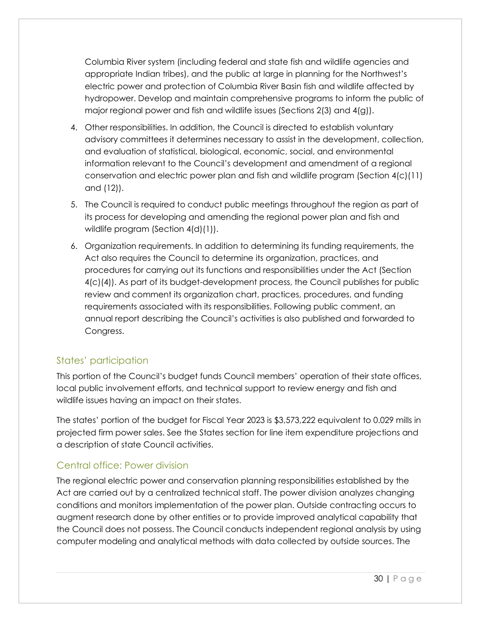Columbia River system (including federal and state fish and wildlife agencies and appropriate Indian tribes), and the public at large in planning for the Northwest's electric power and protection of Columbia River Basin fish and wildlife affected by hydropower. Develop and maintain comprehensive programs to inform the public of major regional power and fish and wildlife issues (Sections 2(3) and 4(g)).

- 4. Other responsibilities. In addition, the Council is directed to establish voluntary advisory committees it determines necessary to assist in the development, collection, and evaluation of statistical, biological, economic, social, and environmental information relevant to the Council's development and amendment of a regional conservation and electric power plan and fish and wildlife program (Section 4(c)(11) and (12)).
- 5. The Council is required to conduct public meetings throughout the region as part of its process for developing and amending the regional power plan and fish and wildlife program (Section 4(d)(1)).
- 6. Organization requirements. In addition to determining its funding requirements, the Act also requires the Council to determine its organization, practices, and procedures for carrying out its functions and responsibilities under the Act (Section 4(c)(4)). As part of its budget-development process, the Council publishes for public review and comment its organization chart, practices, procedures, and funding requirements associated with its responsibilities. Following public comment, an annual report describing the Council's activities is also published and forwarded to Congress.

#### States' participation

This portion of the Council's budget funds Council members' operation of their state offices, local public involvement efforts, and technical support to review energy and fish and wildlife issues having an impact on their states.

The states' portion of the budget for Fiscal Year 2023 is \$3,573,222 equivalent to 0.029 mills in projected firm power sales. See the States section for line item expenditure projections and a description of state Council activities.

#### Central office: Power division

The regional electric power and conservation planning responsibilities established by the Act are carried out by a centralized technical staff. The power division analyzes changing conditions and monitors implementation of the power plan. Outside contracting occurs to augment research done by other entities or to provide improved analytical capability that the Council does not possess. The Council conducts independent regional analysis by using computer modeling and analytical methods with data collected by outside sources. The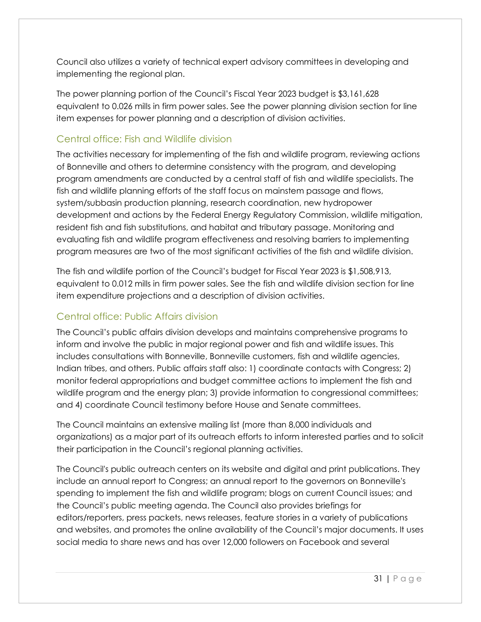Council also utilizes a variety of technical expert advisory committees in developing and implementing the regional plan.

The power planning portion of the Council's Fiscal Year 2023 budget is \$3,161,628 equivalent to 0.026 mills in firm power sales. See the power planning division section for line item expenses for power planning and a description of division activities.

#### Central office: Fish and Wildlife division

The activities necessary for implementing of the fish and wildlife program, reviewing actions of Bonneville and others to determine consistency with the program, and developing program amendments are conducted by a central staff of fish and wildlife specialists. The fish and wildlife planning efforts of the staff focus on mainstem passage and flows, system/subbasin production planning, research coordination, new hydropower development and actions by the Federal Energy Regulatory Commission, wildlife mitigation, resident fish and fish substitutions, and habitat and tributary passage. Monitoring and evaluating fish and wildlife program effectiveness and resolving barriers to implementing program measures are two of the most significant activities of the fish and wildlife division.

The fish and wildlife portion of the Council's budget for Fiscal Year 2023 is \$1,508,913, equivalent to 0.012 mills in firm power sales. See the fish and wildlife division section for line item expenditure projections and a description of division activities.

#### Central office: Public Affairs division

The Council's public affairs division develops and maintains comprehensive programs to inform and involve the public in major regional power and fish and wildlife issues. This includes consultations with Bonneville, Bonneville customers, fish and wildlife agencies, Indian tribes, and others. Public affairs staff also: 1) coordinate contacts with Congress; 2) monitor federal appropriations and budget committee actions to implement the fish and wildlife program and the energy plan; 3) provide information to congressional committees; and 4) coordinate Council testimony before House and Senate committees.

The Council maintains an extensive mailing list (more than 8,000 individuals and organizations) as a major part of its outreach efforts to inform interested parties and to solicit their participation in the Council's regional planning activities.

The Council's public outreach centers on its website and digital and print publications. They include an annual report to Congress; an annual report to the governors on Bonneville's spending to implement the fish and wildlife program; blogs on current Council issues; and the Council's public meeting agenda. The Council also provides briefings for editors/reporters, press packets, news releases, feature stories in a variety of publications and websites, and promotes the online availability of the Council's major documents. It uses social media to share news and has over 12,000 followers on Facebook and several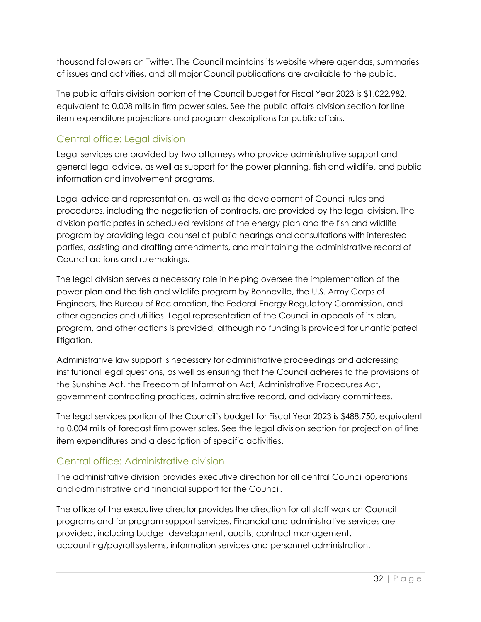thousand followers on Twitter. The Council maintains its website where agendas, summaries of issues and activities, and all major Council publications are available to the public.

The public affairs division portion of the Council budget for Fiscal Year 2023 is \$1,022,982, equivalent to 0.008 mills in firm power sales. See the public affairs division section for line item expenditure projections and program descriptions for public affairs.

#### Central office: Legal division

Legal services are provided by two attorneys who provide administrative support and general legal advice, as well as support for the power planning, fish and wildlife, and public information and involvement programs.

Legal advice and representation, as well as the development of Council rules and procedures, including the negotiation of contracts, are provided by the legal division. The division participates in scheduled revisions of the energy plan and the fish and wildlife program by providing legal counsel at public hearings and consultations with interested parties, assisting and drafting amendments, and maintaining the administrative record of Council actions and rulemakings.

The legal division serves a necessary role in helping oversee the implementation of the power plan and the fish and wildlife program by Bonneville, the U.S. Army Corps of Engineers, the Bureau of Reclamation, the Federal Energy Regulatory Commission, and other agencies and utilities. Legal representation of the Council in appeals of its plan, program, and other actions is provided, although no funding is provided for unanticipated litigation.

Administrative law support is necessary for administrative proceedings and addressing institutional legal questions, as well as ensuring that the Council adheres to the provisions of the Sunshine Act, the Freedom of Information Act, Administrative Procedures Act, government contracting practices, administrative record, and advisory committees.

The legal services portion of the Council's budget for Fiscal Year 2023 is \$488,750, equivalent to 0.004 mills of forecast firm power sales. See the legal division section for projection of line item expenditures and a description of specific activities.

#### Central office: Administrative division

The administrative division provides executive direction for all central Council operations and administrative and financial support for the Council.

The office of the executive director provides the direction for all staff work on Council programs and for program support services. Financial and administrative services are provided, including budget development, audits, contract management, accounting/payroll systems, information services and personnel administration.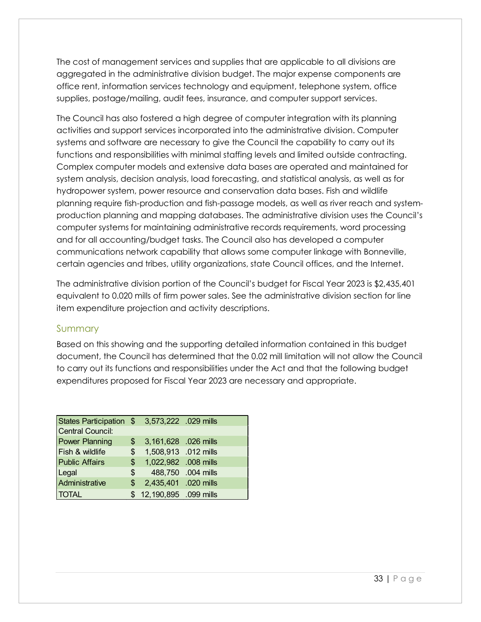The cost of management services and supplies that are applicable to all divisions are aggregated in the administrative division budget. The major expense components are office rent, information services technology and equipment, telephone system, office supplies, postage/mailing, audit fees, insurance, and computer support services.

The Council has also fostered a high degree of computer integration with its planning activities and support services incorporated into the administrative division. Computer systems and software are necessary to give the Council the capability to carry out its functions and responsibilities with minimal staffing levels and limited outside contracting. Complex computer models and extensive data bases are operated and maintained for system analysis, decision analysis, load forecasting, and statistical analysis, as well as for hydropower system, power resource and conservation data bases. Fish and wildlife planning require fish-production and fish-passage models, as well as river reach and systemproduction planning and mapping databases. The administrative division uses the Council's computer systems for maintaining administrative records requirements, word processing and for all accounting/budget tasks. The Council also has developed a computer communications network capability that allows some computer linkage with Bonneville, certain agencies and tribes, utility organizations, state Council offices, and the Internet.

The administrative division portion of the Council's budget for Fiscal Year 2023 is \$2,435,401 equivalent to 0.020 mills of firm power sales. See the administrative division section for line item expenditure projection and activity descriptions.

#### Summary

Based on this showing and the supporting detailed information contained in this budget document, the Council has determined that the 0.02 mill limitation will not allow the Council to carry out its functions and responsibilities under the Act and that the following budget expenditures proposed for Fiscal Year 2023 are necessary and appropriate.

| States Participation \$ 3,573,222 .029 mills |               |                         |                    |
|----------------------------------------------|---------------|-------------------------|--------------------|
| Central Council:                             |               |                         |                    |
| <b>Power Planning</b>                        |               | \$ 3,161,628 .026 mills |                    |
| Fish & wildlife                              | $\mathsf{\$}$ | 1,508,913 .012 mills    |                    |
| <b>Public Affairs</b>                        | $\mathsf{\$}$ | 1,022,982 .008 mills    |                    |
| Legal                                        | \$            |                         | 488,750 .004 mills |
| Administrative                               | \$            | 2,435,401 .020 mills    |                    |
| <b>TOTAL</b>                                 |               | \$12,190,895 .099 mills |                    |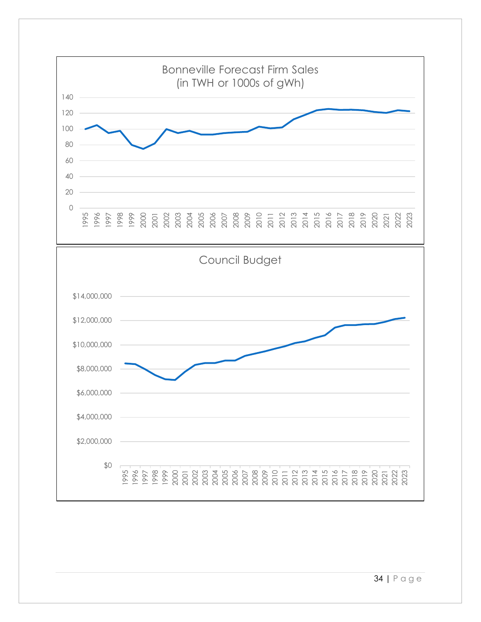